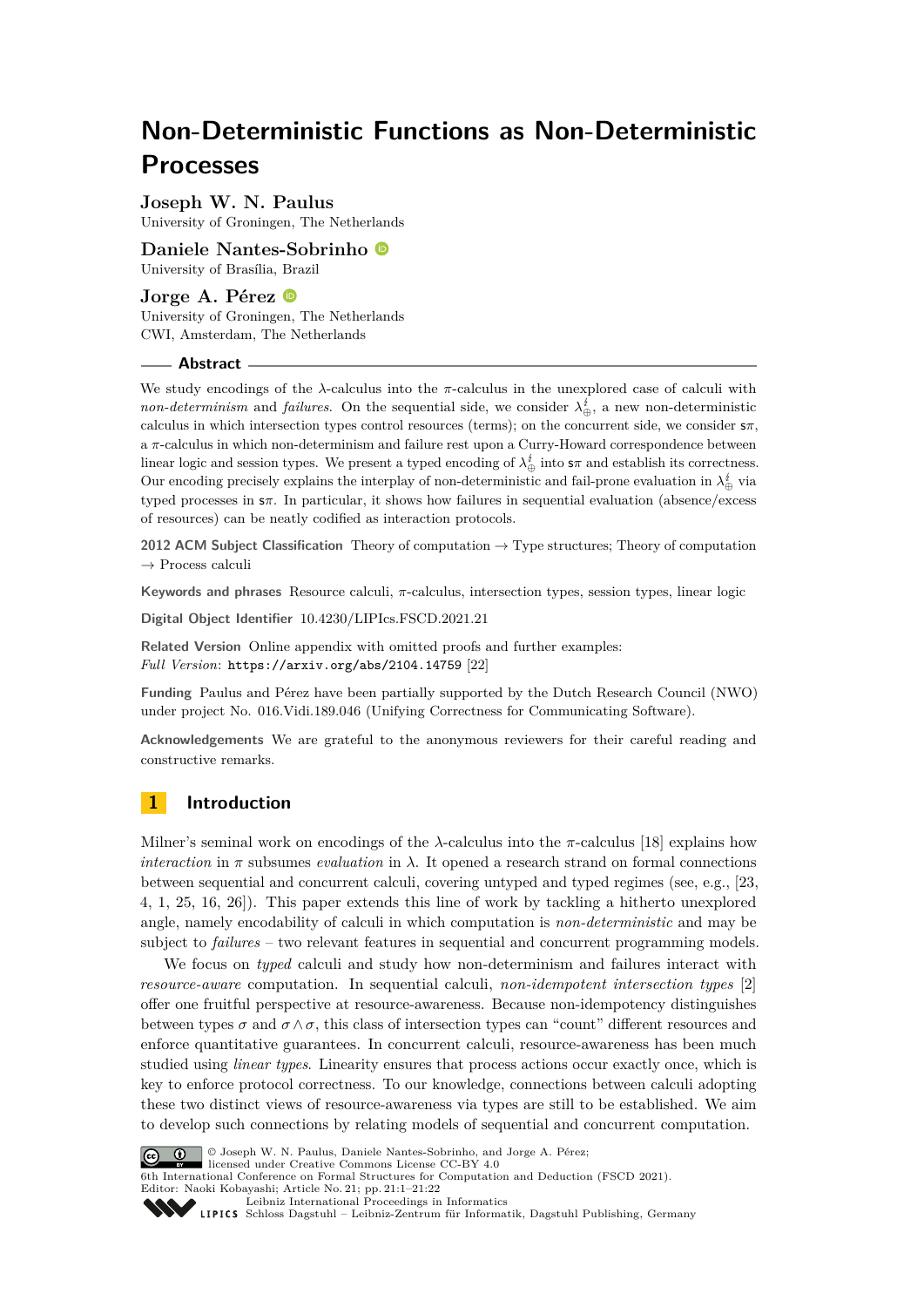# **Non-Deterministic Functions as Non-Deterministic Processes**

**Joseph W. N. Paulus** University of Groningen, The Netherlands

**Daniele Nantes-Sobrinho** University of Brasília, Brazil

**Jorge A. Pérez** University of Groningen, The Netherlands CWI, Amsterdam, The Netherlands

#### **Abstract**

We study encodings of the *λ*-calculus into the *π*-calculus in the unexplored case of calculi with *non-determinism* and *failures*. On the sequential side, we consider  $\lambda_{\oplus}^{i}$ , a new non-deterministic calculus in which intersection types control resources (terms); on the concurrent side, we consider  $s\pi$ , a *π*-calculus in which non-determinism and failure rest upon a Curry-Howard correspondence between linear logic and session types. We present a typed encoding of  $\lambda_{\oplus}^i$  into  $s\pi$  and establish its correctness. Our encoding precisely explains the interplay of non-deterministic and fail-prone evaluation in  $\lambda_{\oplus}^i$  via typed processes in s*π*. In particular, it shows how failures in sequential evaluation (absence/excess of resources) can be neatly codified as interaction protocols.

**2012 ACM Subject Classification** Theory of computation → Type structures; Theory of computation  $\rightarrow$  Process calculi

**Keywords and phrases** Resource calculi, *π*-calculus, intersection types, session types, linear logic

**Digital Object Identifier** [10.4230/LIPIcs.FSCD.2021.21](https://doi.org/10.4230/LIPIcs.FSCD.2021.21)

**Related Version** Online appendix with omitted proofs and further examples: *Full Version*: <https://arxiv.org/abs/2104.14759> [\[22\]](#page-17-0)

**Funding** Paulus and Pérez have been partially supported by the Dutch Research Council (NWO) under project No. 016.Vidi.189.046 (Unifying Correctness for Communicating Software).

**Acknowledgements** We are grateful to the anonymous reviewers for their careful reading and constructive remarks.

# **1 Introduction**

Milner's seminal work on encodings of the *λ*-calculus into the *π*-calculus [\[18\]](#page-17-1) explains how *interaction* in  $\pi$  subsumes *evaluation* in  $\lambda$ . It opened a research strand on formal connections between sequential and concurrent calculi, covering untyped and typed regimes (see, e.g., [\[23,](#page-17-2) [4,](#page-16-0) [1,](#page-16-1) [25,](#page-17-3) [16,](#page-17-4) [26\]](#page-18-0)). This paper extends this line of work by tackling a hitherto unexplored angle, namely encodability of calculi in which computation is *non-deterministic* and may be subject to *failures* – two relevant features in sequential and concurrent programming models.

We focus on *typed* calculi and study how non-determinism and failures interact with *resource-aware* computation. In sequential calculi, *non-idempotent intersection types* [\[2\]](#page-16-2) offer one fruitful perspective at resource-awareness. Because non-idempotency distinguishes between types  $\sigma$  and  $\sigma \wedge \sigma$ , this class of intersection types can "count" different resources and enforce quantitative guarantees. In concurrent calculi, resource-awareness has been much studied using *linear types*. Linearity ensures that process actions occur exactly once, which is key to enforce protocol correctness. To our knowledge, connections between calculi adopting these two distinct views of resource-awareness via types are still to be established. We aim to develop such connections by relating models of sequential and concurrent computation.



© Joseph W. N. Paulus, Daniele Nantes-Sobrinho, and Jorge A. Pérez; licensed under Creative Commons License CC-BY 4.0 6th International Conference on Formal Structures for Computation and Deduction (FSCD 2021). Editor: Naoki Kobayashi; Article No. 21; pp. 21:1–21:22<br> [Leibniz International Proceedings in Informatics](https://www.dagstuhl.de/lipics/)

[Schloss Dagstuhl – Leibniz-Zentrum für Informatik, Dagstuhl Publishing, Germany](https://www.dagstuhl.de)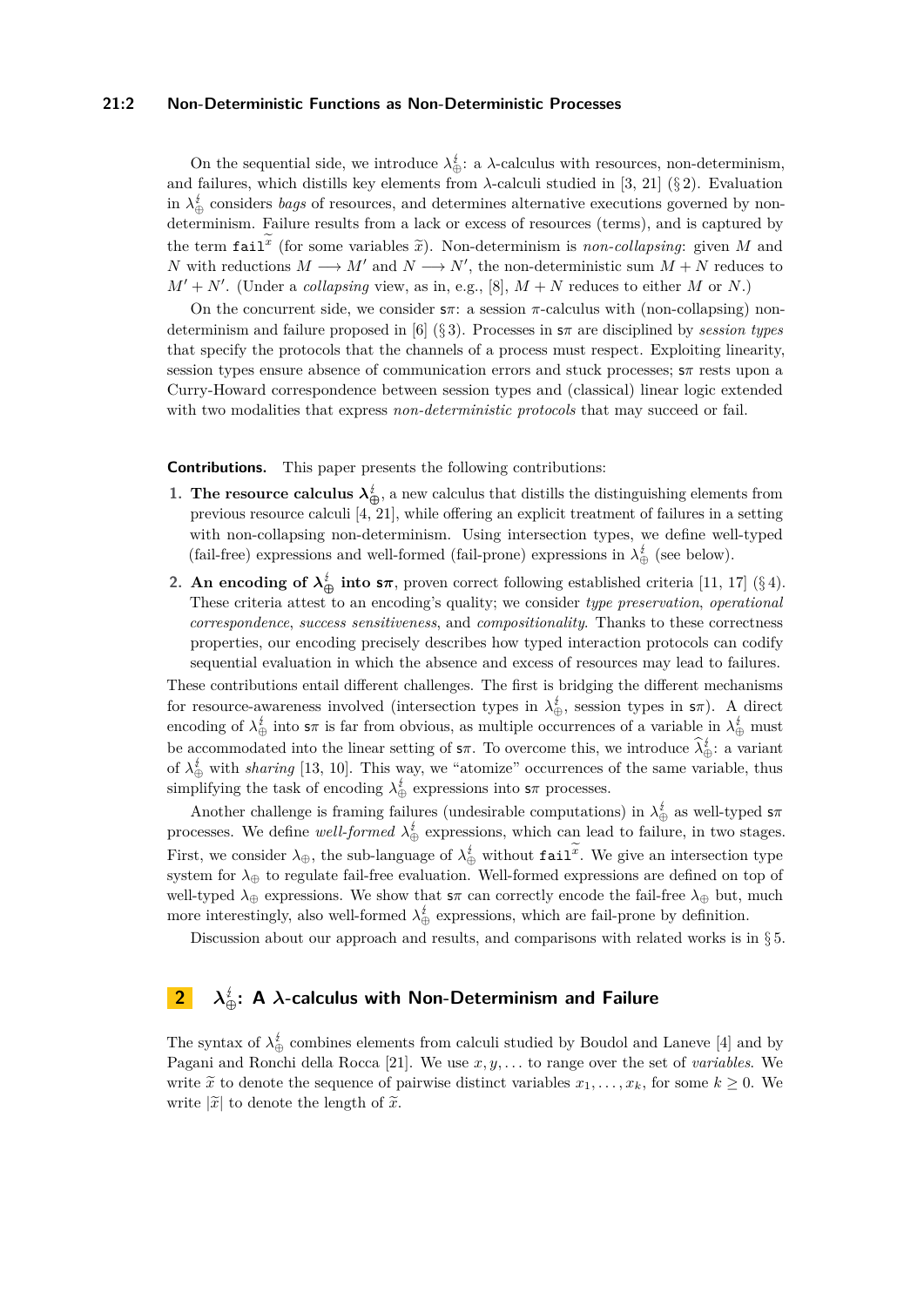#### **21:2 Non-Deterministic Functions as Non-Deterministic Processes**

On the sequential side, we introduce  $\lambda_{\oplus}^i$ : a  $\lambda$ -calculus with resources, non-determinism, and failures, which distills key elements from  $\lambda$ -calculi studied in [\[3,](#page-16-3) [21\]](#page-17-5) (§ [2\)](#page-1-0). Evaluation in  $\lambda_{\oplus}^i$  considers *bags* of resources, and determines alternative executions governed by nondeterminism. Failure results from a lack or excess of resources (terms), and is captured by the term  $\text{fail}^x$  (for some variables  $\tilde{x}$ ). Non-determinism is *non-collapsing*: given *M* and<br>*M* with poductions *M* and *M* and *N* and *N*<sup>*t*</sup> the non-deterministic sum *M* in *N* poduces to *N* with reductions  $M \longrightarrow M'$  and  $N \longrightarrow N'$ , the non-deterministic sum  $M + N$  reduces to  $M' + N'$ . (Under a *collapsing* view, as in, e.g., [\[8\]](#page-16-4),  $M + N$  reduces to either *M* or *N*.)

On the concurrent side, we consider s*π*: a session *π*-calculus with (non-collapsing) nondeterminism and failure proposed in [\[6\]](#page-16-5) (§ [3\)](#page-8-0). Processes in s*π* are disciplined by *session types* that specify the protocols that the channels of a process must respect. Exploiting linearity, session types ensure absence of communication errors and stuck processes; s*π* rests upon a Curry-Howard correspondence between session types and (classical) linear logic extended with two modalities that express *non-deterministic protocols* that may succeed or fail.

**Contributions.** This paper presents the following contributions:

- **1. The resource calculus**  $\lambda_{\bigoplus}^i$ , a new calculus that distills the distinguishing elements from previous resource calculi [\[4,](#page-16-0) [21\]](#page-17-5), while offering an explicit treatment of failures in a setting with non-collapsing non-determinism. Using intersection types, we define well-typed (fail-free) expressions and well-formed (fail-prone) expressions in  $\lambda_{\oplus}^{\sharp}$  (see below).
- **2. An encoding of**  $\lambda_{\oplus}^{i}$  **into**  $s\pi$ , proven correct following established criteria [\[11,](#page-16-6) [17\]](#page-17-6) (§ [4\)](#page-10-0). These criteria attest to an encoding's quality; we consider *type preservation*, *operational correspondence*, *success sensitiveness*, and *compositionality*. Thanks to these correctness properties, our encoding precisely describes how typed interaction protocols can codify sequential evaluation in which the absence and excess of resources may lead to failures.

These contributions entail different challenges. The first is bridging the different mechanisms for resource-awareness involved (intersection types in  $\lambda_{\oplus}^i$ , session types in  $\mathsf{s}\pi$ ). A direct encoding of  $\lambda_{\oplus}^{\sharp}$  into  $s\pi$  is far from obvious, as multiple occurrences of a variable in  $\lambda_{\oplus}^{\sharp}$  must be accommodated into the linear setting of  $s\pi$ . To overcome this, we introduce  $\lambda_{\oplus}^{\sharp}$ : a variant of  $\lambda_{\oplus}^i$  with *sharing* [\[13,](#page-17-7) [10\]](#page-16-7). This way, we "atomize" occurrences of the same variable, thus simplifying the task of encoding  $\lambda_{\oplus}^{\sharp}$  expressions into  $s\pi$  processes.

Another challenge is framing failures (undesirable computations) in  $\lambda_{\oplus}^i$  as well-typed  $s\pi$ processes. We define *well-formed*  $\lambda_{\oplus}^{t}$  expressions, which can lead to failure, in two stages. First, we consider  $\lambda_{\oplus}$ , the sub-language of  $\lambda_{\oplus}^{\sharp}$  without fail<sup>x</sup>. We give an intersection type system for *λ*<sup>⊕</sup> to regulate fail-free evaluation. Well-formed expressions are defined on top of well-typed  $\lambda_{\oplus}$  expressions. We show that  $s\pi$  can correctly encode the fail-free  $\lambda_{\oplus}$  but, much more interestingly, also well-formed  $\lambda_{\oplus}^{\sharp}$  expressions, which are fail-prone by definition.

Discussion about our approach and results, and comparisons with related works is in § [5.](#page-15-0)

# <span id="page-1-0"></span>**2** *λ* **<sup>⊕</sup>: A** *λ***-calculus with Non-Determinism and Failure**

<span id="page-1-1"></span>The syntax of  $\lambda_{\oplus}^i$  combines elements from calculi studied by Boudol and Laneve [\[4\]](#page-16-0) and by Pagani and Ronchi della Rocca [\[21\]](#page-17-5). We use *x, y, . . .* to range over the set of *variables*. We write  $\tilde{x}$  to denote the sequence of pairwise distinct variables  $x_1, \ldots, x_k$ , for some  $k \geq 0$ . We write  $|\widetilde{x}|$  to denote the length of  $\widetilde{x}$ .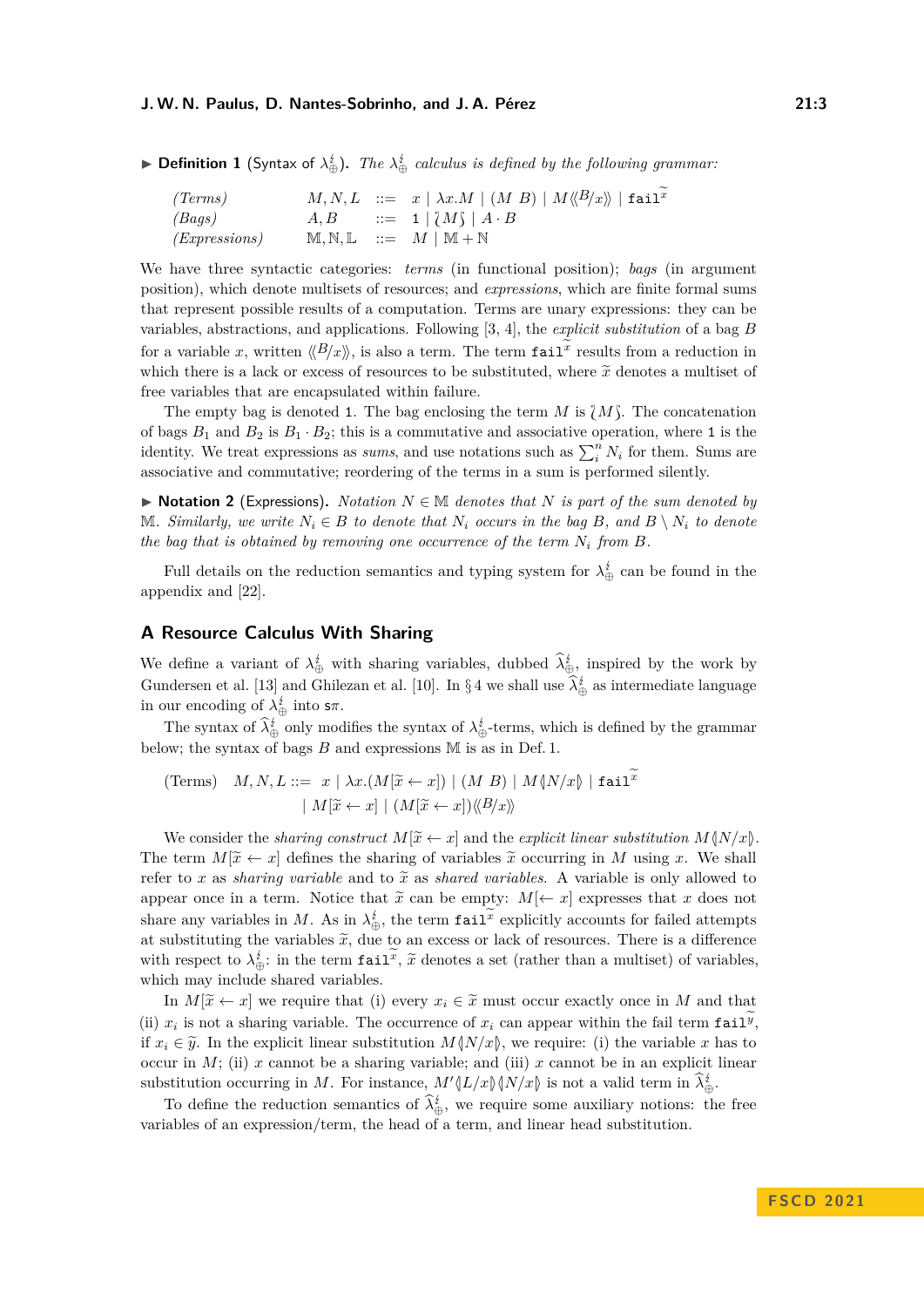#### **J. W. N. Paulus, D. Nantes-Sobrinho, and J. A. Pérez 21:3**

▶ **Definition 1** (Syntax of  $\lambda_{\oplus}^{\sharp}$ ). The  $\lambda_{\oplus}^{\sharp}$  calculus is defined by the following grammar:

| (Terms)              |  | $M, N, L$ ::= $x \mid \lambda x.M \mid (M B) \mid M \langle B/x \rangle \mid \text{fail}^x$ |
|----------------------|--|---------------------------------------------------------------------------------------------|
| (Bags)               |  | $A, B$ ::= 1 $\{M\}$ $A \cdot B$                                                            |
| <i>(Expressions)</i> |  | $M, N, L ::= M \mid M + N$                                                                  |

We have three syntactic categories: *terms* (in functional position); *bags* (in argument position), which denote multisets of resources; and *expressions*, which are finite formal sums that represent possible results of a computation. Terms are unary expressions: they can be variables, abstractions, and applications. Following [\[3,](#page-16-3) [4\]](#page-16-0), the *explicit substitution* of a bag *B* for a variable *x*, written  $\langle B/x \rangle$ , is also a term. The term  $\text{fail}^x$  results from a reduction in which there is a lack or excess of resources to be substituted, where  $\tilde{x}$  denotes a multiset of free variables that are encapsulated within failure.

The empty bag is denoted 1. The bag enclosing the term *M* is  $\{M\}$ . The concatenation of bags  $B_1$  and  $B_2$  is  $B_1 \cdot B_2$ ; this is a commutative and associative operation, where 1 is the identity. We treat expressions as *sums*, and use notations such as  $\sum_i^n N_i$  for them. Sums are associative and commutative; reordering of the terms in a sum is performed silently.

▶ **Notation 2** (Expressions). *Notation*  $N \in \mathbb{M}$  *denotes that*  $N$  *is part of the sum denoted by*  $M_i$ *. Similarly, we write*  $N_i$  ∈ *B to denote that*  $N_i$  *occurs in the bag B, and B*  $\setminus N_i$  *to denote the bag that is obtained by removing one occurrence of the term*  $N_i$  *from*  $B$ *.* 

Full details on the reduction semantics and typing system for  $\lambda_{\oplus}^{\sharp}$  can be found in the appendix and [\[22\]](#page-17-0).

# <span id="page-2-0"></span>**A Resource Calculus With Sharing**

We define a variant of  $\lambda^{\sharp}_{\bigoplus}$  with sharing variables, dubbed  $\lambda^{\sharp}_{\bigoplus}$ , inspired by the work by Gundersen et al. [\[13\]](#page-17-7) and Ghilezan et al. [\[10\]](#page-16-7). In §[4](#page-10-0) we shall use  $\lambda_{\oplus}^{\sharp}$  as intermediate language in our encoding of  $\lambda_{\oplus}^{\sharp}$  into  $s\pi$ .

The syntax of  $\lambda_{\oplus}^{\sharp}$  only modifies the syntax of  $\lambda_{\oplus}^{\sharp}$ -terms, which is defined by the grammar below; the syntax of bags *B* and expressions M is as in Def. [1.](#page-1-1)

(Terms) 
$$
M, N, L ::= x \mid \lambda x.(M[\tilde{x} \leftarrow x]) \mid (M B) \mid M \langle N/x \rangle \mid \text{fail}^x
$$
  
\n
$$
\mid M[\tilde{x} \leftarrow x] \mid (M[\tilde{x} \leftarrow x]) \langle \langle B/x \rangle \rangle
$$

We consider the *sharing construct*  $M[\tilde{x} \leftarrow x]$  and the *explicit linear substitution*  $M\{N/x\}$ . The term  $M[\tilde{x} \leftarrow x]$  defines the sharing of variables  $\tilde{x}$  occurring in *M* using *x*. We shall refer to x as *sharing variable* and to  $\tilde{x}$  as *shared variables*. A variable is only allowed to appear once in a term. Notice that  $\tilde{x}$  can be empty:  $M[\leftarrow x]$  expresses that *x* does not share any variables in *M*. As in  $\lambda_{\oplus}^{\sharp}$ , the term  $\texttt{fail}^x$  explicitly accounts for failed attempts at substituting the variables  $\tilde{x}$ , due to an excess or lack of resources. There is a difference with respect to  $\lambda_{\oplus}^i$ : in the term **fail<sup>***x***</sup>**,  $\tilde{x}$  denotes a set (rather than a multiset) of variables, which may include shared variables.

In  $M[\tilde{x} \leftarrow x]$  we require that (i) every  $x_i \in \tilde{x}$  must occur exactly once in M and that (ii)  $x_i$  is not a sharing variable. The occurrence of  $x_i$  can appear within the fail term  $\texttt{fail}^y$ , if  $x_i \in \tilde{y}$ . In the explicit linear substitution  $M\langle N/x \rangle$ , we require: (i) the variable *x* has to occur in *M*; (ii) *x* cannot be a sharing variable; and (iii) *x* cannot be in an explicit linear substitution occurring in *M*. For instance,  $M' \langle L/x \rangle \langle N/x \rangle$  is not a valid term in  $\hat{\lambda}^i_{\oplus}$ .

To define the reduction semantics of  $\lambda_{\oplus}^{\sharp}$ , we require some auxiliary notions: the free variables of an expression/term, the head of a term, and linear head substitution.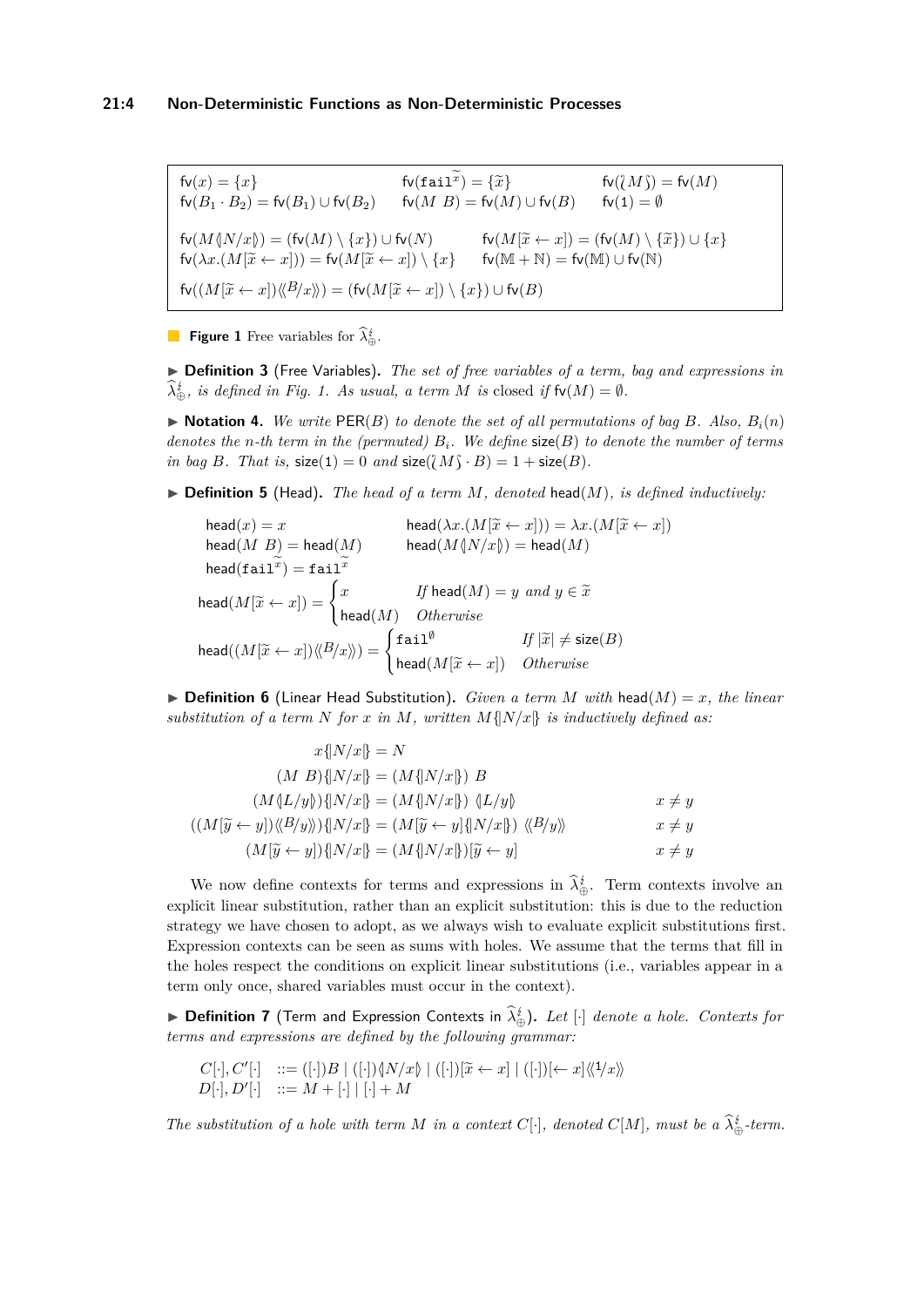<span id="page-3-0"></span> $f\nu(x) = \{x\}$ <br>  $f\nu(B_1 \cdot B_2) = f\nu(B_1) \cup f\nu(B_2)$   $f\nu(M \ B) = f\nu(M) \cup f\nu(B)$   $f\nu(1) = \emptyset$  $f_v(M\sqrt[n]{X/x}) = (f_v(M) \setminus \{x\}) \cup f_v(N)$   $f_v(M[\widetilde{x} \leftarrow x]) = (f_v(M) \setminus \{\widetilde{x}\}) \cup \{x\}$  $f_v(\lambda x.(M[\tilde{x} \leftarrow x])) = f_v(M[\tilde{x} \leftarrow x]) \setminus \{x\}$  fv(M + N) = fv(M) ∪ fv(N)  $f_{\mathsf{V}}((M[\widetilde{x} \leftarrow x]) \langle \! \langle B \rangle \! \langle x \rangle \! \rangle) = (f_{\mathsf{V}}(M[\widetilde{x} \leftarrow x]) \setminus \{x\}) \cup f_{\mathsf{V}}(B)$ 

**Figure 1** Free variables for  $\lambda_{\oplus}^i$ .

▶ **Definition 3** (Free Variables)**.** *The set of free variables of a term, bag and expressions in*  $\lambda_{\oplus}^{i}$ , *is defined in Fig.* [1.](#page-3-0) As usual, a term *M is* closed *if*  $f\nu(M) = \emptyset$ .

 $\triangleright$  **Notation 4.** We write  $\text{PER}(B)$  to denote the set of all permutations of bag B. Also,  $B_i(n)$ *denotes the n-th term in the (permuted) Bi. We define* size(*B*) *to denote the number of terms in bag B. That is,*  $size(1) = 0$  *and*  $size(\lbrace M \rbrace \cdot B) = 1 + size(B)$ *.* 

▶ **Definition 5** (Head)**.** *The head of a term M, denoted* head(*M*)*, is defined inductively:*

 $\begin{array}{ll} \mathsf{head}(x) = x & \mathsf{head}(\lambda x.(M[\widetilde{x} \leftarrow x])) = \lambda x.(M[\widetilde{x} \leftarrow x]) \ \mathsf{head}(M \mid B) = \mathsf{head}(M) & \mathsf{head}(M \langle N/x \rangle) = \mathsf{head}(M) \end{array}$  $\mathsf{head}(\mathtt{fail}^x) = \mathtt{fail}^x$  $\mathsf{head}(M[\widetilde{x} \leftarrow x]) = \begin{cases} x & \text{If } \mathsf{head}(M) = y \text{ and } y \in \widetilde{x} \ \mathsf{head}(M) & \text{Otherwise} \end{cases}$ head(*M*) *Otherwise*  $\mathsf{head}((M[\widetilde{x} \leftarrow x])\langle\!\langle B/x \rangle\!\rangle) = \begin{cases} \mathtt{fail}^{\emptyset} & \textit{If } |\widetilde{x}| \neq \mathsf{size}(B) \ \mathtt{head}(M[\widetilde{x} \leftarrow x]) & \textit{Otherwise} \end{cases}$  $\mathsf{head}(M[\widetilde{x} \leftarrow x])$  *Otherwise* 

 $\triangleright$  **Definition 6** (Linear Head Substitution). *Given a term M with* head( $M$ ) = *x, the linear substitution of a term N for x in M, written*  $M\{N/x\}$  *is inductively defined as:* 

$$
x\{N/x\} = N
$$
  
\n
$$
(M B)\{N/x\} = (M\{N/x\}) B
$$
  
\n
$$
(M\{L/y\})\{N/x\} = (M\{N/x\}) \{L/y\}
$$
  
\n
$$
((M[\widetilde{y} \leftarrow y]) \langle B/y \rangle) \{N/x\} = (M[\widetilde{y} \leftarrow y] \{N/x\}) \langle B/y \rangle \quad \forall B/y \rangle
$$
  
\n
$$
(M[\widetilde{y} \leftarrow y])\{N/x\} = (M\{N/x\})[\widetilde{y} \leftarrow y]
$$
  
\n
$$
x \neq y
$$
  
\n
$$
x \neq y
$$
  
\n
$$
x \neq y
$$

We now define contexts for terms and expressions in  $\lambda_{\oplus}^{\sharp}$ . Term contexts involve an explicit linear substitution, rather than an explicit substitution: this is due to the reduction strategy we have chosen to adopt, as we always wish to evaluate explicit substitutions first. Expression contexts can be seen as sums with holes. We assume that the terms that fill in the holes respect the conditions on explicit linear substitutions (i.e., variables appear in a term only once, shared variables must occur in the context).

► **Definition 7** (Term and Expression Contexts in  $\hat{\lambda}_{\oplus}^i$ ). Let [·] denote a hole. Contexts for *terms and expressions are defined by the following grammar:*

$$
C[\cdot], C'[\cdot] \quad ::= ([\cdot])B \mid ([\cdot])\{\mathcal{N}/x\} \mid ([\cdot])[\widetilde{x} \leftarrow x] \mid ([\cdot])[\leftarrow x]\langle\langle 1/x\rangle\langle D[\cdot], D'[\cdot] \mid ::= M + [\cdot] \mid [\cdot] + M \rangle
$$

*The substitution of a hole with term M in a context*  $C[\cdot]$ *, denoted*  $C[M]$ *, must be a*  $\lambda_{\oplus}^i$ *-term.*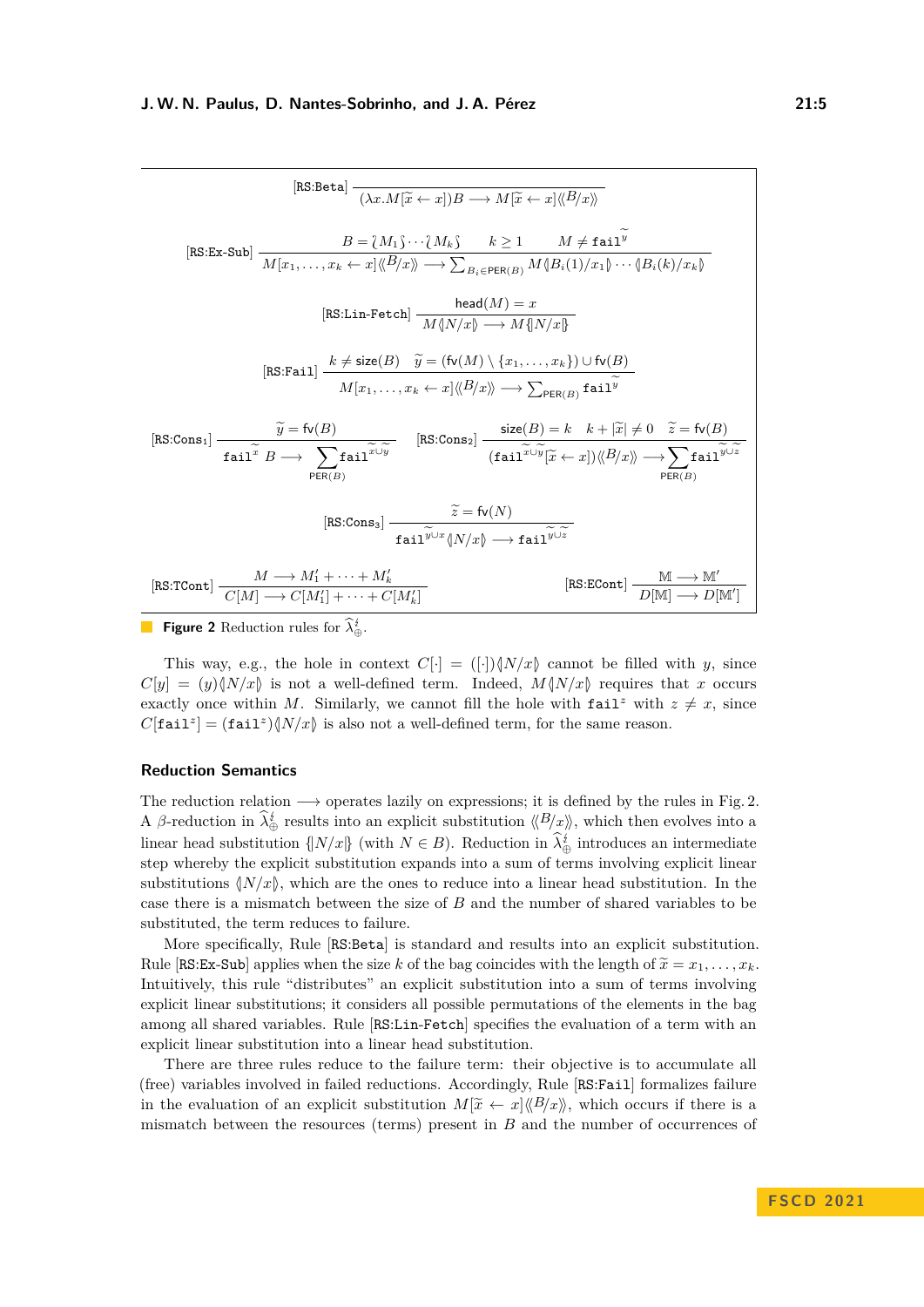<span id="page-4-0"></span>

| $\texttt{[RS:Beta]} \xrightarrow[\texttt{$(\lambda x \cdot M] \widetilde{x} \leftarrow x]} B \longrightarrow M[\widetilde{x} \leftarrow x] \langle \! \langle B/x \rangle \! \rangle$                                                                                                                                                                                     |  |  |  |  |
|---------------------------------------------------------------------------------------------------------------------------------------------------------------------------------------------------------------------------------------------------------------------------------------------------------------------------------------------------------------------------|--|--|--|--|
| $[\mathtt{RS:Ex-Sub}] \begin{array}{c} B = \{M_1\} \cdots \{M_k\} \qquad k \geq 1 \qquad M \neq \mathtt{fail}^y \\ \hline M[x_1, \ldots, x_k \leftarrow x] \langle \!\langle B/x \rangle \!\rangle \longrightarrow \sum_{B_i \in \mathtt{PER(B)}} M \langle \!\langle B_i(1)/x_1 \rangle \!\rangle \cdots \langle \!\langle B_i(k)/x_k \rangle \!\rangle \end{array}$     |  |  |  |  |
| [RS:Lin-Fetch] $\frac{\text{head}(M) = x}{M \sqrt{N/x} \rightarrow M \sqrt{N/x}}$                                                                                                                                                                                                                                                                                         |  |  |  |  |
| $\texttt{[RS:Fall]}\ \frac{k \neq \textsf{size}(B) \quad \widetilde{y} = (\textsf{fv}(M) \setminus \{x_1, \ldots, x_k\}) \cup \textsf{fv}(B)}{M[x_1, \ldots, x_k \leftarrow x] \langle\!\langle B \rangle\!\rangle \rangle \longrightarrow \sum_{\textsf{PER}(B)} \textsf{fail}^{\widetilde{y}} }$                                                                        |  |  |  |  |
| $[\texttt{RS:Cons}_1] \xrightarrow[\texttt{fail} \widetilde{B} \longrightarrow \sum \texttt{fail}^{\widetilde{x} \cup \widetilde{y}} \qquad [\texttt{RS:Cons}_2] \xrightarrow[\texttt{fail} \widetilde{L \cup \widetilde{y}} \widetilde{K} \leftarrow x] ) \langle B/x \rangle \longrightarrow \sum \texttt{fail}^{\widetilde{y} \cup \widetilde{z}}$<br>PER(B)<br>PER(B) |  |  |  |  |
| $[\texttt{RS:Cons}_3] \xrightarrow[\texttt{fail}^{\widetilde{y} \cup x} \{ N/x \} \longrightarrow \texttt{fail}^{\widetilde{y} \cup \widetilde{z}}]$                                                                                                                                                                                                                      |  |  |  |  |
| [RS:TCont] $\frac{M \longrightarrow M'_1 + \cdots + M'_k}{C[M] \longrightarrow C[M'] + \cdots + C[M']}.$<br>$[\texttt{RS:ECont}] \xrightarrow{\texttt{M} \longrightarrow \texttt{M}'} \texttt{M}$                                                                                                                                                                         |  |  |  |  |

**Figure 2** Reduction rules for  $\lambda_{\oplus}^{\sharp}$ .

This way, e.g., the hole in context  $C[\cdot] = ([\cdot]) \langle N/x \rangle$  cannot be filled with *y*, since  $C[y] = (y)\langle N/x \rangle$  is not a well-defined term. Indeed,  $M\langle N/x \rangle$  requires that *x* occurs exactly once within *M*. Similarly, we cannot fill the hole with  $\text{fail}^z$  with  $z \neq x$ , since  $C[\text{fail}^z] = (\text{fail}^z)\langle N/x\rangle$  is also not a well-defined term, for the same reason.

# **Reduction Semantics**

The reduction relation  $\longrightarrow$  operates lazily on expressions; it is defined by the rules in Fig. [2.](#page-4-0) A *β*-reduction in  $\widehat{\lambda}_{\oplus}^{\sharp}$  results into an explicit substitution  $\langle B \rangle \langle x \rangle$ , which then evolves into a linear head substitution  $\{N/x\}$  (with  $N \in B$ ). Reduction in  $\lambda_{\oplus}^{t}$  introduces an intermediate step whereby the explicit substitution expands into a sum of terms involving explicit linear substitutions  $\langle N/x \rangle$ , which are the ones to reduce into a linear head substitution. In the case there is a mismatch between the size of *B* and the number of shared variables to be substituted, the term reduces to failure.

More specifically, Rule [RS:Beta] is standard and results into an explicit substitution. Rule [RS:Ex-Sub] applies when the size *k* of the bag coincides with the length of  $\widetilde{x} = x_1, \ldots, x_k$ . Intuitively, this rule "distributes" an explicit substitution into a sum of terms involving explicit linear substitutions; it considers all possible permutations of the elements in the bag among all shared variables. Rule [RS:Lin-Fetch] specifies the evaluation of a term with an explicit linear substitution into a linear head substitution.

There are three rules reduce to the failure term: their objective is to accumulate all (free) variables involved in failed reductions. Accordingly, Rule [RS:Fail] formalizes failure in the evaluation of an explicit substitution  $M[\tilde{x} \leftarrow x] \langle B/x \rangle$ , which occurs if there is a mismatch between the resources (terms) present in *B* and the number of occurrences of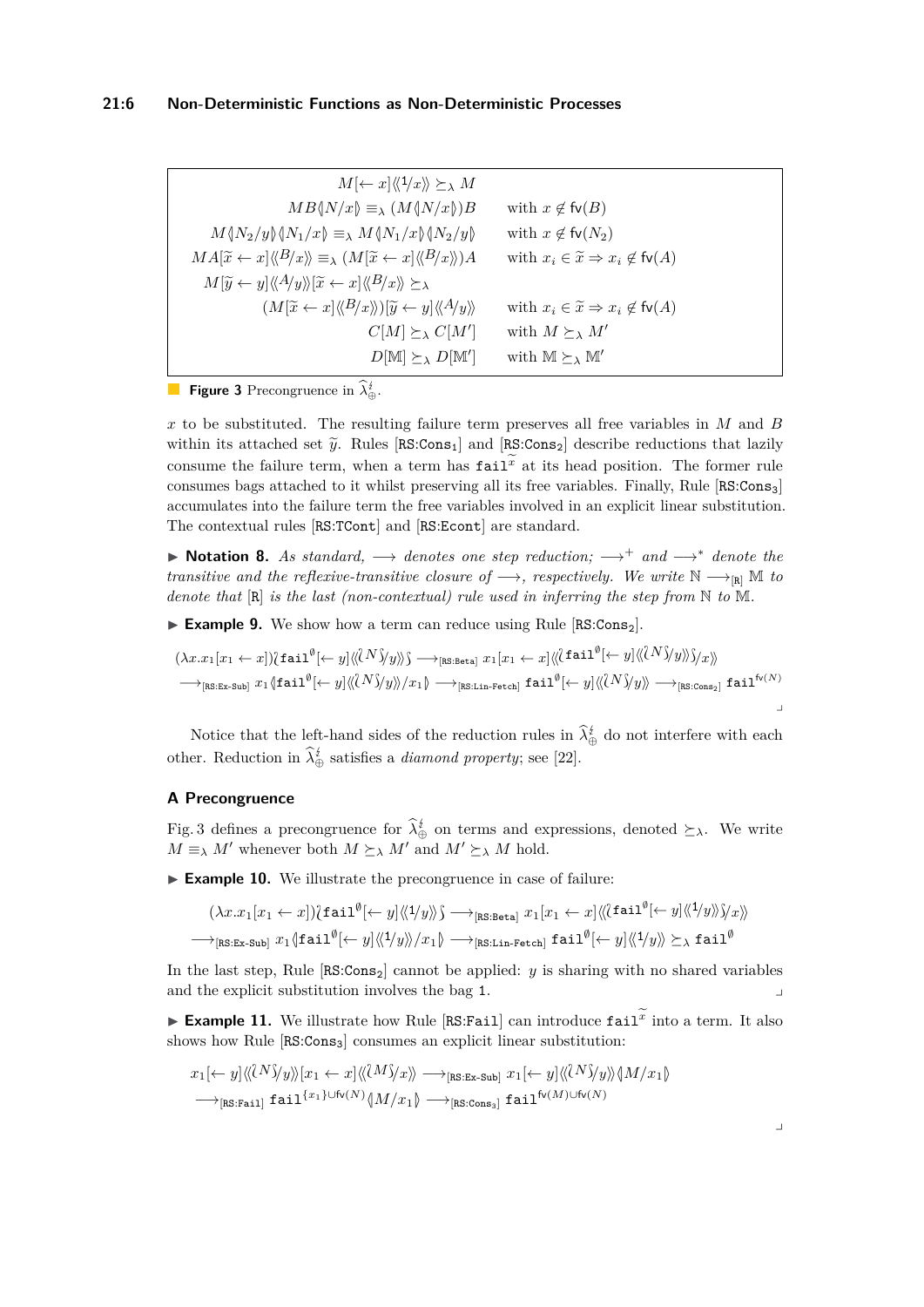<span id="page-5-0"></span>

| $M\leftarrow x\vert \langle 1/x \rangle \rangle \succeq_{\lambda} M$                                                                                   |                                                                  |
|--------------------------------------------------------------------------------------------------------------------------------------------------------|------------------------------------------------------------------|
| $MB\langle N/x\rangle \equiv_{\lambda} (M\langle N/x\rangle)B$                                                                                         | with $x \notin \mathsf{fv}(B)$                                   |
| $M\langle N_2/y \rangle \langle N_1/x \rangle \equiv_\lambda M\langle N_1/x \rangle \langle N_2/y \rangle$                                             | with $x \notin \mathsf{fv}(N_2)$                                 |
| $MA[\tilde{x} \leftarrow x] \langle B/x \rangle \equiv_{\lambda} (M[\tilde{x} \leftarrow x] \langle B/x \rangle) A$                                    | with $x_i \in \widetilde{x} \Rightarrow x_i \notin \text{fv}(A)$ |
| $M[\widetilde{y} \leftarrow y] \langle \langle A/y \rangle \rangle [\widetilde{x} \leftarrow x] \langle \langle B/x \rangle \rangle \succeq_{\lambda}$ |                                                                  |
| $(M[\widetilde{x} \leftarrow x] \langle \langle B/x \rangle \rangle][\widetilde{y} \leftarrow y] \langle \langle A/y \rangle \rangle$                  | with $x_i \in \widetilde{x} \Rightarrow x_i \notin \text{fv}(A)$ |
| $C[M] \succeq_{\lambda} C[M']$                                                                                                                         | with $M \succeq_{\lambda} M'$                                    |
| $D[M] \succeq_{\lambda} D[M']$                                                                                                                         | with $\mathbb{M} \succeq_{\lambda} \mathbb{M}'$                  |

**Figure 3** Precongruence in  $\lambda_{\oplus}^i$ .

*x* to be substituted. The resulting failure term preserves all free variables in *M* and *B* within its attached set  $\tilde{y}$ . Rules [RS:Cons<sub>1</sub>] and [RS:Cons<sub>2</sub>] describe reductions that lazily consume the failure term, when a term has  $\text{fail}^x$  at its head position. The former rule consumes bags attached to it whilst preserving all its free variables. Finally, Rule  $\left[\text{RS:Cons}_{3}\right]$ accumulates into the failure term the free variables involved in an explicit linear substitution. The contextual rules [RS:TCont] and [RS:Econt] are standard.

▶ **Notation 8.** *As standard,* −→ *denotes one step reduction;* −→<sup>+</sup> *and* −→<sup>∗</sup> *denote the transitive and the reflexive-transitive closure of*  $\longrightarrow$ *, respectively. We write*  $\mathbb{N} \longrightarrow_{\text{[R]}} \mathbb{M}$  *to denote that* [R] *is the last (non-contextual) rule used in inferring the step from* N *to* M*.*

▶ **Example 9.** We show how a term can reduce using Rule [RS:Cons<sub>2</sub>].

$$
(\lambda x. x_1[x_1 \leftarrow x])\mathbf{\hat{tail}}(\leftarrow y]\langle\langle N \rangle\mathbf{\hat{y}}\mathbf{\hat{y}}\rangle\mathbf{\hat{y}} \longrightarrow_{[\mathtt{RS:Beta}]} x_1[x_1 \leftarrow x]\langle\langle \mathbf{\hat{fail}}^{\emptyset}(\leftarrow y]\langle\langle N \rangle\mathbf{\hat{y}}\mathbf{\hat{y}}\mathbf{\hat{y}}\rangle\mathbf{\hat{y}}\mathbf{\hat{x}}\rangle\right) \longrightarrow_{[\mathtt{RS:Ex-Sub}]} x_1 \langle \mathtt{fail}^{\emptyset}(\leftarrow y]\langle\langle N \rangle\mathbf{\hat{y}}\mathbf{\hat{y}}\rangle\mathbf{\hat{y}}\mathbf{\hat{z}}\mathbf{1}\mathbf{\hat{y}}^{\emptyset}(\leftarrow y]\langle\langle N \rangle\mathbf{\hat{y}}\mathbf{\hat{y}}\rangle\mathbf{\hat{y}}\mathbf{\hat{z}}\mathbf{1}\mathbf{\hat{y}}^{\emptyset}(\leftarrow y]\langle\langle N \rangle\mathbf{\hat{y}}\mathbf{\hat{y}}\mathbf{\hat{y}}\rangle\right)\rangle
$$

Notice that the left-hand sides of the reduction rules in  $\lambda_{\oplus}^{\sharp}$  do not interfere with each other. Reduction in  $\lambda_{\oplus}^{t}$  satisfies a *diamond property*; see [\[22\]](#page-17-0).

# **A Precongruence**

Fig. [3](#page-5-0) defines a precongruence for  $\lambda_{\oplus}^{t}$  on terms and expressions, denoted  $\succeq_{\lambda}$ . We write  $M \equiv_{\lambda} M'$  whenever both  $M \succeq_{\lambda} M'$  and  $M' \succeq_{\lambda} M$  hold.

▶ **Example 10.** We illustrate the precongruence in case of failure:

$$
(\lambda x. x_1[x_1 \leftarrow x])\{\mathtt{fail}^{\emptyset} \leftarrow y] \langle\langle 1/y \rangle\} \longrightarrow_{\mathtt{[RS:Beta]}} x_1[x_1 \leftarrow x] \langle\langle \mathtt{fail}^{\emptyset} \leftarrow y] \langle\langle 1/y \rangle\langle y \rangle\right\rangle\langle x \rangle\}
$$

$$
\longrightarrow_{\mathtt{[RS:Ex-Sub]}} x_1 \{\mathtt{fail}^{\emptyset} \leftarrow y] \langle\langle 1/y \rangle\rangle / x_1 \rangle \longrightarrow_{\mathtt{[RS:Lin-Fetch]}} \mathtt{fail}^{\emptyset} \leftarrow y] \langle\langle 1/y \rangle\rangle \succeq_{\lambda} \mathtt{fail}^{\emptyset}
$$

In the last step, Rule  $[RS:Cons_2]$  cannot be applied: *y* is sharing with no shared variables and the explicit substitution involves the bag 1.

 $\blacktriangleright$  **Example 11.** We illustrate how Rule [RS:Fail] can introduce  $\text{fail}^x$  into a term. It also shows how Rule [RS:Cons<sub>3</sub>] consumes an explicit linear substitution:

$$
x_1[\leftarrow y] \langle \langle N \rangle \rangle y \rangle \langle x_1 \leftarrow x] \langle \langle M \rangle \rangle x \rangle \longrightarrow_{\text{[RS:Ex-Sub]}} x_1[\leftarrow y] \langle \langle N \rangle \rangle y \rangle \langle M/x_1 \rangle
$$
  

$$
\longrightarrow_{\text{[RS:Tail]}} \text{fail}^{\{x_1\} \cup \text{fv}(N)} \langle M/x_1 \rangle \longrightarrow_{\text{[RS:Cons_3]}} \text{fail}^{\text{fv}(M) \cup \text{fv}(N)}
$$

⌟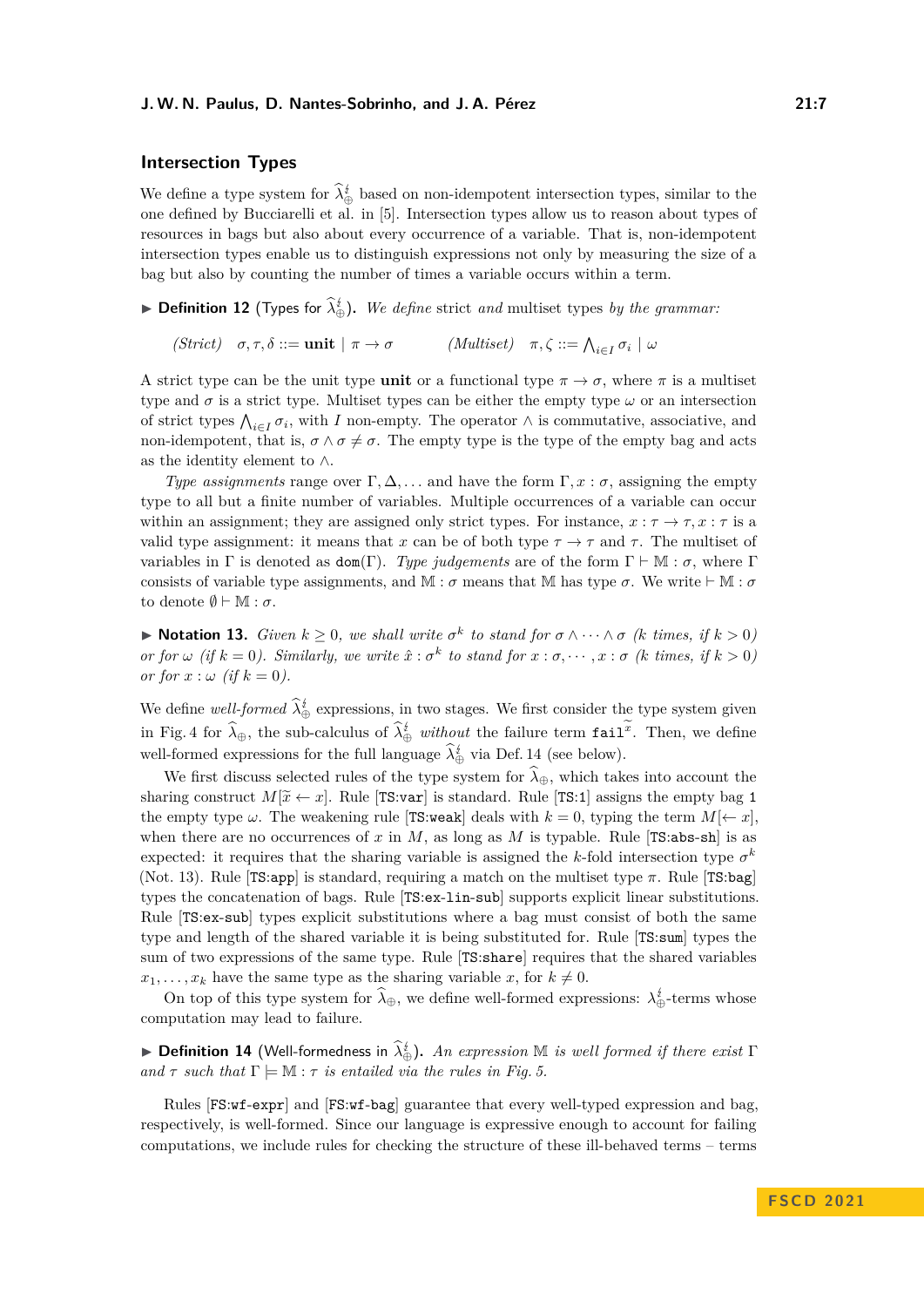# **Intersection Types**

We define a type system for  $\lambda_{\oplus}^{i}$  based on non-idempotent intersection types, similar to the one defined by Bucciarelli et al. in [\[5\]](#page-16-8). Intersection types allow us to reason about types of resources in bags but also about every occurrence of a variable. That is, non-idempotent intersection types enable us to distinguish expressions not only by measuring the size of a bag but also by counting the number of times a variable occurs within a term.

<span id="page-6-2"></span>▶ **Definition 12** (Types for  $\hat{\lambda}_{\oplus}^i$ ). We define strict and multiset types by the grammar:

*(Strict)*  $\sigma, \tau, \delta ::= \textbf{unit} \mid \pi \to \sigma$  *(Multiset)*  $\pi, \zeta ::= \bigwedge_{i \in I} \sigma_i \mid \omega$ 

A strict type can be the unit type **unit** or a functional type  $\pi \to \sigma$ , where  $\pi$  is a multiset type and  $\sigma$  is a strict type. Multiset types can be either the empty type  $\omega$  or an intersection of strict types  $\bigwedge_{i\in I}\sigma_i$ , with *I* non-empty. The operator  $\wedge$  is commutative, associative, and non-idempotent, that is,  $\sigma \wedge \sigma \neq \sigma$ . The empty type is the type of the empty bag and acts as the identity element to ∧.

*Type assignments* range over  $\Gamma, \Delta, \ldots$  and have the form  $\Gamma, x : \sigma$ , assigning the empty type to all but a finite number of variables. Multiple occurrences of a variable can occur within an assignment; they are assigned only strict types. For instance,  $x : \tau \to \tau, x : \tau$  is a valid type assignment: it means that *x* can be of both type  $\tau \to \tau$  and  $\tau$ . The multiset of variables in Γ is denoted as  $dom(\Gamma)$ . *Type judgements* are of the form  $\Gamma \vdash M : \sigma$ , where Γ consists of variable type assignments, and M :  $\sigma$  means that M has type  $\sigma$ . We write  $\vdash M : \sigma$ to denote  $\emptyset \vdash \mathbb{M} : \sigma$ .

<span id="page-6-1"></span>▶ **Notation 13.** *Given*  $k \geq 0$ *, we shall write*  $\sigma^k$  *to stand for*  $\sigma \wedge \cdots \wedge \sigma$  *(k times, if*  $k > 0$ *)* or for  $\omega$  (if  $k = 0$ ). Similarly, we write  $\hat{x} : \sigma^k$  to stand for  $x : \sigma, \dots, x : \sigma$  (k times, if  $k > 0$ ) *or for*  $x : \omega$  (if  $k = 0$ ).

We define *well-formed*  $\lambda_{\oplus}^i$  expressions, in two stages. We first consider the type system given in Fig. [4](#page-7-0) for  $\hat{\lambda}_{\oplus}$ , the sub-calculus of  $\hat{\lambda}_{\oplus}^i$  *without* the failure term fail<sup>x</sup>. Then, we define well-formed expressions for the full language  $\lambda_{\oplus}^{\sharp}$  via Def. [14](#page-6-0) (see below).

We first discuss selected rules of the type system for  $\hat{\lambda}_{\oplus}$ , which takes into account the sharing construct  $M[\tilde{x} \leftarrow x]$ . Rule [TS:var] is standard. Rule [TS:1] assigns the empty bag 1 the empty type  $\omega$ . The weakening rule [TS:weak] deals with  $k = 0$ , typing the term  $M[\leftarrow x]$ , when there are no occurrences of  $x$  in  $M$ , as long as  $M$  is typable. Rule [TS:abs-sh] is as expected: it requires that the sharing variable is assigned the *k*-fold intersection type  $\sigma^k$ (Not. [13\)](#page-6-1). Rule [TS:app] is standard, requiring a match on the multiset type *π*. Rule [TS:bag] types the concatenation of bags. Rule [TS:ex-lin-sub] supports explicit linear substitutions. Rule [TS:ex-sub] types explicit substitutions where a bag must consist of both the same type and length of the shared variable it is being substituted for. Rule [TS:sum] types the sum of two expressions of the same type. Rule [TS:share] requires that the shared variables  $x_1, \ldots, x_k$  have the same type as the sharing variable *x*, for  $k \neq 0$ .

On top of this type system for  $\lambda_{\oplus}$ , we define well-formed expressions:  $\lambda_{\oplus}^i$ -terms whose computation may lead to failure.

<span id="page-6-0"></span>**Example 14** (Well-formedness in  $\hat{\lambda}^i_{\oplus}$ ). An expression M is well formed if there exist  $\Gamma$ *and*  $\tau$  *such that*  $\Gamma \models \mathbb{M} : \tau$  *is entailed via the rules in Fig.* [5.](#page-7-1)

Rules [FS:wf-expr] and [FS:wf-bag] guarantee that every well-typed expression and bag, respectively, is well-formed. Since our language is expressive enough to account for failing computations, we include rules for checking the structure of these ill-behaved terms – terms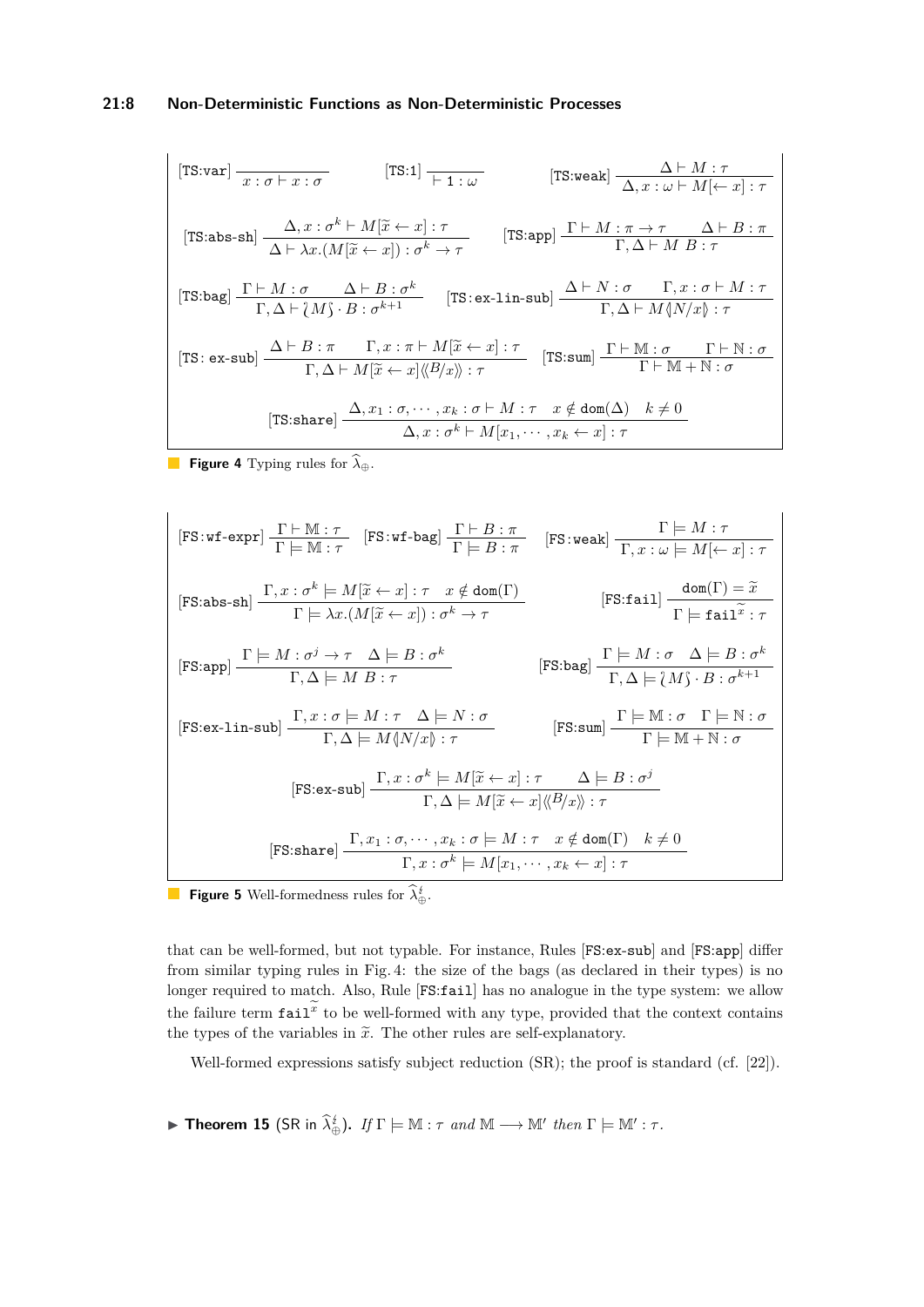# **21:8 Non-Deterministic Functions as Non-Deterministic Processes**

<span id="page-7-0"></span>
$$
[\text{TS:var}] \frac{}{x:\sigma \vdash x:\sigma} \qquad [\text{TS:1}] \frac{}{\vdash 1:\omega} \qquad [\text{TS:weak}] \frac{\Delta \vdash M:\tau}{\Delta, x:\omega \vdash M[\leftarrow x]:\tau}
$$
\n
$$
[\text{TS:abs-sh}] \frac{\Delta, x:\sigma^k \vdash M[\tilde{x} \leftarrow x]:\tau}{\Delta \vdash \lambda x.(M[\tilde{x} \leftarrow x]):\sigma^k \rightarrow \tau} \qquad [\text{TS:app}] \frac{\Gamma \vdash M:\pi \rightarrow \tau}{\Gamma, \Delta \vdash M B:\tau}
$$
\n
$$
[\text{TS:bag}] \frac{\Gamma \vdash M:\sigma}{\Gamma, \Delta \vdash \{M\}:B:\sigma^{k+1}\}} \qquad [\text{TS:ex-lin-sub}] \frac{\Delta \vdash N:\sigma}{\Gamma, \Delta \vdash M \{\{N/x\}: \tau}
$$
\n
$$
[\text{TS:ex-sub}] \frac{\Delta \vdash B:\pi}{\Gamma, \Delta \vdash M[\tilde{x} \leftarrow x]:\tau} \qquad [\text{TS:sum}] \frac{\Gamma \vdash M:\sigma}{\Gamma \vdash M + N:\sigma}
$$
\n
$$
[\text{TS:amp}] \frac{\Gamma \vdash M:\sigma}{\Gamma \vdash M + N:\sigma}
$$
\n
$$
[\text{TS:share}] \frac{\Delta, x:\sigma, \dots, x_k:\sigma \vdash M:\tau}{\Delta, x:\sigma^k \vdash M[x_1, \dots, x_k \leftarrow x]:\tau}
$$

**Figure 4** Typing rules for  $\widehat{\lambda}_{\oplus}$ .

<span id="page-7-1"></span>
$$
[FS:wf-expr] \frac{\Gamma \vdash \mathbb{M} : \tau}{\Gamma \models \mathbb{M} : \tau} [FS:wf-bag] \frac{\Gamma \vdash B : \pi}{\Gamma \models B : \pi} [FS:wek] \frac{\Gamma \models M : \tau}{\Gamma, x : \omega \models M[\leftarrow x] : \tau}
$$
\n
$$
[FS:abs-sh] \frac{\Gamma, x : \sigma^k \models M[\tilde{x} \leftarrow x] : \tau \quad x \notin \text{dom}(\Gamma)}{\Gamma \models \lambda x.(M[\tilde{x} \leftarrow x]) : \sigma^k \rightarrow \tau} [FS:fail] \frac{\text{dom}(\Gamma) = \tilde{x}}{\Gamma \models \text{fail} \tilde{x} : \tau}
$$
\n
$$
[FS:app] \frac{\Gamma \models M : \sigma^j \rightarrow \tau \quad \Delta \models B : \sigma^k}{\Gamma, \Delta \models M B : \tau} [FS:bag] \frac{\Gamma \models M : \sigma \quad \Delta \models B : \sigma^k}{\Gamma, \Delta \models \{M\} \cdot B : \sigma^{k+1}} [FS:ex-lin-sub] \frac{\Gamma, x : \sigma \models M : \tau \quad \Delta \models N : \sigma}{\Gamma, \Delta \models M \{\mathbb{N}/x\} : \tau} [FS:sum] \frac{\Gamma \models \mathbb{M} : \sigma \quad \Gamma \models \mathbb{N} : \sigma}{\Gamma \models \mathbb{M} + \mathbb{N} : \sigma} [FS:ex-sub] \frac{\Gamma, x : \sigma^k \models M[\tilde{x} \leftarrow x] : \tau \quad \Delta \models B : \sigma^j}{\Gamma, \Delta \models M[\tilde{x} \leftarrow x] \langle \{B/x\} \rangle : \tau} [FS:share] \frac{\Gamma, x_1 : \sigma, \dots, x_k : \sigma \models M : \tau \quad x \notin \text{dom}(\Gamma) \quad k \neq 0}{\Gamma, x : \sigma^k \models M[x_1, \dots, x_k \leftarrow x] : \tau} [FS:bare] \frac{\Gamma, x_1 : \sigma, \dots, x_k : \sigma \models M[x_1, \dots, x_k \leftarrow x] : \tau}{\Gamma, x : \sigma^k \models M[x_1, \dots, x_k \leftarrow x] : \tau} [FS:base] \frac{\Gamma, x_1 : \sigma, \dots, x_k : \sigma \models M \rightarrow \text{dom}(\Gamma)}{\Gamma, x : \sigma^k \models M[x_1, \dots, x_k \leftarrow x] : \tau} [FS:base] \frac{\Gamma,
$$

**Figure 5** Well-formedness rules for  $\lambda_{\oplus}^{\sharp}$ .

that can be well-formed, but not typable. For instance, Rules [FS:ex-sub] and [FS:app] differ from similar typing rules in Fig. [4:](#page-7-0) the size of the bags (as declared in their types) is no longer required to match. Also, Rule [FS:fail] has no analogue in the type system: we allow the failure term  $\texttt{fail}^x$  to be well-formed with any type, provided that the context contains the types of the variables in  $\tilde{x}$ . The other rules are self-explanatory.

Well-formed expressions satisfy subject reduction (SR); the proof is standard (cf. [\[22\]](#page-17-0)).

► **Theorem 15** (SR in  $\widehat{\lambda}_{\oplus}^i$ ). *If*  $\Gamma \models \mathbb{M} : \tau$  *and*  $\mathbb{M} \longrightarrow \mathbb{M}'$  *then*  $\Gamma \models \mathbb{M}' : \tau$ *.*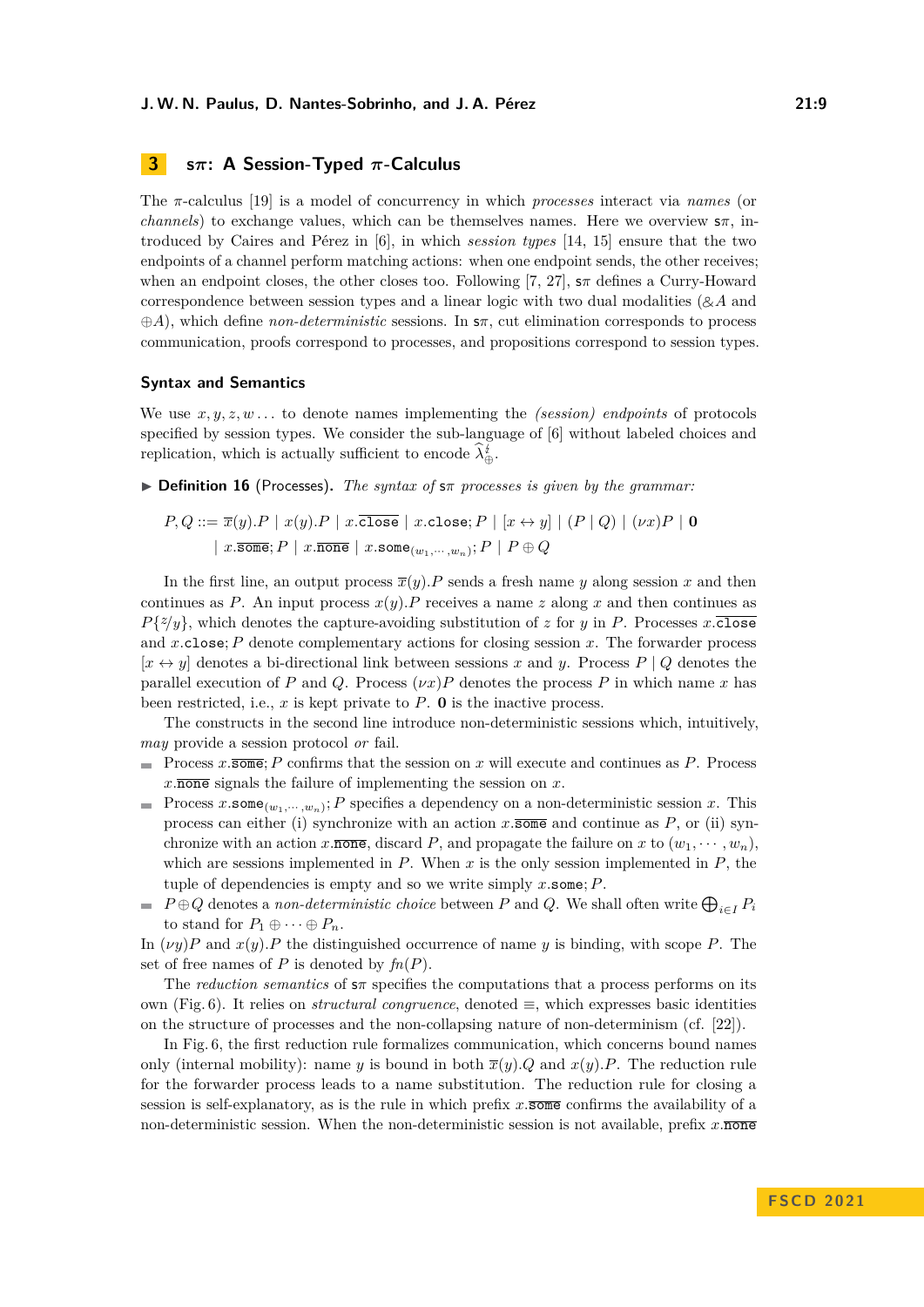# <span id="page-8-0"></span>**3 s***π***: A Session-Typed** *π***-Calculus**

The *π*-calculus [\[19\]](#page-17-8) is a model of concurrency in which *processes* interact via *names* (or *channels*) to exchange values, which can be themselves names. Here we overview s*π*, introduced by Caires and Pérez in [\[6\]](#page-16-5), in which *session types* [\[14,](#page-17-9) [15\]](#page-17-10) ensure that the two endpoints of a channel perform matching actions: when one endpoint sends, the other receives; when an endpoint closes, the other closes too. Following [\[7,](#page-16-9) [27\]](#page-18-1), s*π* defines a Curry-Howard correspondence between session types and a linear logic with two dual modalities ( $\&\mathcal{A}$  and ⊕*A*), which define *non-deterministic* sessions. In s*π*, cut elimination corresponds to process communication, proofs correspond to processes, and propositions correspond to session types.

#### **Syntax and Semantics**

We use *x, y, z, w . . .* to denote names implementing the *(session) endpoints* of protocols specified by session types. We consider the sub-language of [\[6\]](#page-16-5) without labeled choices and replication, which is actually sufficient to encode  $\lambda_{\oplus}^{\sharp}$ .

▶ **Definition 16** (Processes)**.** *The syntax of* s*π processes is given by the grammar:*

$$
P,Q ::= \overline{x}(y).P \mid x(y).P \mid x.\overline{\mathtt{close}} \mid x.\mathtt{close}; P \mid [x \leftrightarrow y] \mid (P \mid Q) \mid (\nu x)P \mid \mathbf{0}
$$

$$
\mid x.\overline{\mathtt{some}}; P \mid x.\overline{\mathtt{none}} \mid x.\mathtt{some}_{(w_1,\cdots,w_n)}; P \mid P \oplus Q
$$

In the first line, an output process  $\overline{x}(y)$ *.P* sends a fresh name *y* along session *x* and then continues as *P*. An input process  $x(y)$ *.P* receives a name *z* along *x* and then continues as  $P\{z/y\}$ , which denotes the capture-avoiding substitution of *z* for *y* in *P*. Processes *x*.close and *x.*close; *P* denote complementary actions for closing session *x*. The forwarder process  $[x \leftrightarrow y]$  denotes a bi-directional link between sessions x and y. Process  $P \mid Q$  denotes the parallel execution of *P* and *Q*. Process  $(\nu x)P$  denotes the process *P* in which name *x* has been restricted, i.e.,  $x$  is kept private to  $P$ . **0** is the inactive process.

The constructs in the second line introduce non-deterministic sessions which, intuitively, *may* provide a session protocol *or* fail.

- Process *x.*some; *P* confirms that the session on *x* will execute and continues as *P*. Process ÷. *x.*none signals the failure of implementing the session on *x*.
- Process  $x.\texttt{some}_{(w_1,\dots,w_n)}$ ; *P* specifies a dependency on a non-deterministic session *x*. This process can either (i) synchronize with an action  $x.\overline{\text{some}}$  and continue as  $P$ , or (ii) synchronize with an action *x*.none, discard *P*, and propagate the failure on *x* to  $(w_1, \dots, w_n)$ , which are sessions implemented in *P*. When *x* is the only session implemented in *P*, the tuple of dependencies is empty and so we write simply *x.*some; *P*.
- $P \oplus Q$  denotes a *non-deterministic choice* between  $P$  and  $Q$ . We shall often write  $\bigoplus_{i \in I} P_i$ to stand for  $P_1 \oplus \cdots \oplus P_n$ .

In  $(\nu y)P$  and  $x(y)P$  the distinguished occurrence of name *y* is binding, with scope *P*. The set of free names of  $P$  is denoted by  $fn(P)$ .

The *reduction semantics* of s*π* specifies the computations that a process performs on its own (Fig. [6\)](#page-9-0). It relies on *structural congruence*, denoted ≡, which expresses basic identities on the structure of processes and the non-collapsing nature of non-determinism (cf. [\[22\]](#page-17-0)).

In Fig. [6,](#page-9-0) the first reduction rule formalizes communication, which concerns bound names only (internal mobility): name *y* is bound in both  $\overline{x}(y)$ *.Q* and  $x(y)$ *.P*. The reduction rule for the forwarder process leads to a name substitution. The reduction rule for closing a session is self-explanatory, as is the rule in which prefix *x.*some confirms the availability of a non-deterministic session. When the non-deterministic session is not available, prefix  $x.\overline{\text{none}}$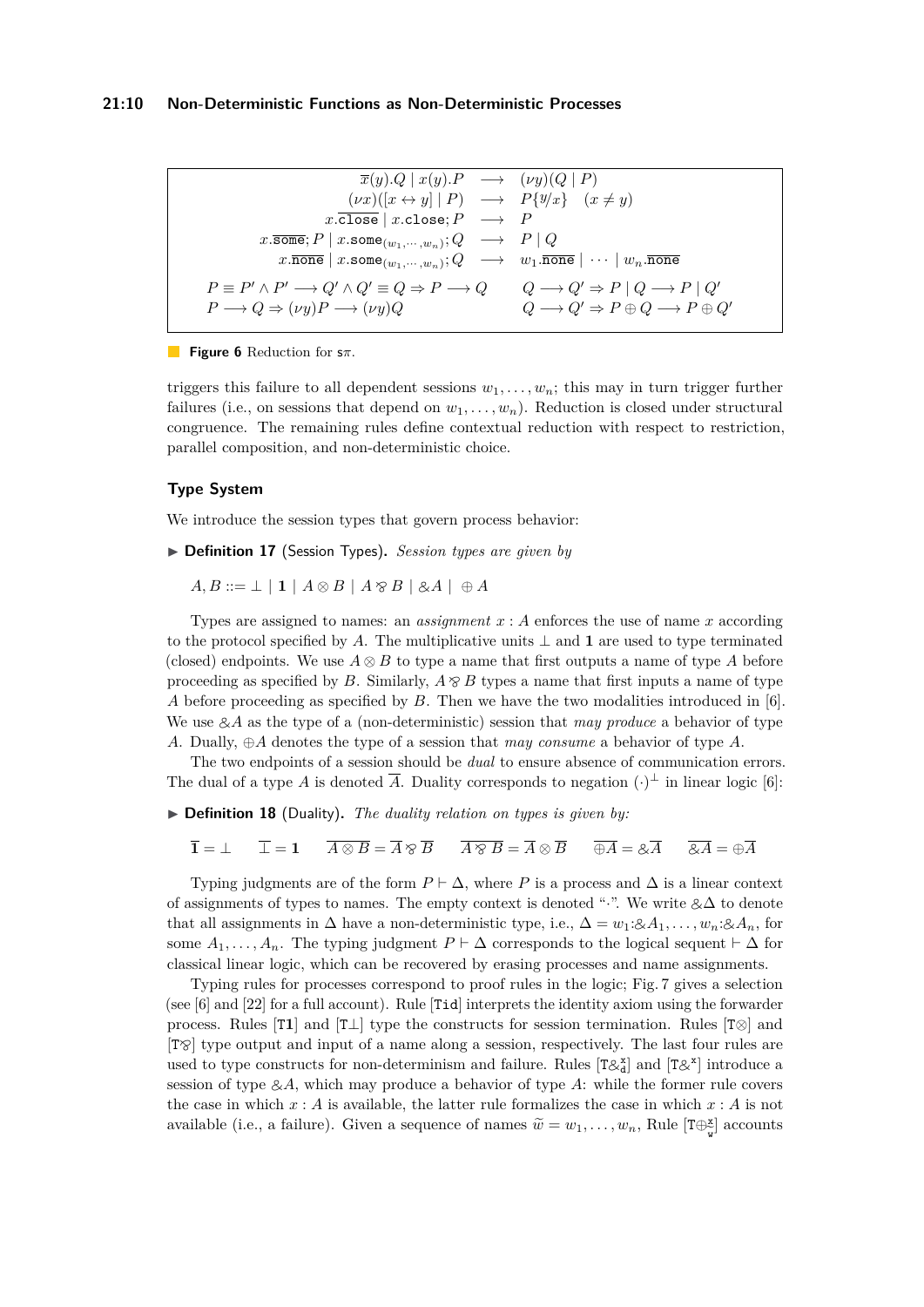#### **21:10 Non-Deterministic Functions as Non-Deterministic Processes**

<span id="page-9-0"></span>
$$
\overline{x}(y).Q \mid x(y).P \longrightarrow (\nu y)(Q \mid P)
$$
\n
$$
(\nu x)([x \leftrightarrow y] \mid P) \longrightarrow P\{y/x\} \quad (x \neq y)
$$
\n
$$
x.\overline{\text{close}} \mid x.\text{close}; P \longrightarrow P
$$
\n
$$
x.\overline{\text{some}}; P \mid x.\text{some}_{(w_1, \cdots, w_n)}; Q \longrightarrow P \mid Q
$$
\n
$$
x.\overline{\text{none}} \mid x.\text{some}_{(w_1, \cdots, w_n)}; Q \longrightarrow w_1.\overline{\text{none}} \mid \cdots \mid w_n.\overline{\text{none}}
$$
\n
$$
P \equiv P' \land P' \longrightarrow Q' \land Q' \equiv Q \Rightarrow P \longrightarrow Q \qquad Q \longrightarrow Q' \Rightarrow P \mid Q \longrightarrow P \mid Q'
$$
\n
$$
P \longrightarrow Q \Rightarrow (\nu y)P \longrightarrow (\nu y)Q \qquad Q \longrightarrow Q' \Rightarrow P \oplus Q \longrightarrow P \oplus Q'
$$

## **Figure 6** Reduction for s*π*.

triggers this failure to all dependent sessions  $w_1, \ldots, w_n$ ; this may in turn trigger further failures (i.e., on sessions that depend on  $w_1, \ldots, w_n$ ). Reduction is closed under structural congruence. The remaining rules define contextual reduction with respect to restriction, parallel composition, and non-deterministic choice.

## **Type System**

We introduce the session types that govern process behavior:

▶ **Definition 17** (Session Types)**.** *Session types are given by*

 $A, B ::= \perp | 1 | A \otimes B | A \otimes B | \otimes A | \oplus A$ 

Types are assigned to names: an *assignment x* : *A* enforces the use of name *x* according to the protocol specified by A. The multiplicative units  $\perp$  and **1** are used to type terminated (closed) endpoints. We use  $A \otimes B$  to type a name that first outputs a name of type A before proceeding as specified by *B*. Similarly,  $A \otimes B$  types a name that first inputs a name of type *A* before proceeding as specified by *B*. Then we have the two modalities introduced in [\[6\]](#page-16-5). We use  $\&\mathcal{A}$  as the type of a (non-deterministic) session that *may produce* a behavior of type *A*. Dually, ⊕*A* denotes the type of a session that *may consume* a behavior of type *A*.

The two endpoints of a session should be *dual* to ensure absence of communication errors. The dual of a type *A* is denoted  $\overline{A}$ . Duality corresponds to negation  $(\cdot)^{\perp}$  in linear logic [\[6\]](#page-16-5):

- ▶ **Definition 18** (Duality). *The duality relation on types is given by:* 
	- $\overline{\mathbf{1}} = \perp$   $\overline{\perp} = \mathbf{1}$   $\overline{A \otimes B} = \overline{A} \otimes \overline{B}$   $\overline{A \otimes B} = \overline{A} \otimes \overline{B}$   $\overline{\oplus A} = \otimes \overline{A}$   $\overline{\otimes A} = \oplus \overline{A}$

Typing judgments are of the form  $P \vdash \Delta$ , where P is a process and  $\Delta$  is a linear context of assignments of types to names. The empty context is denoted "·". We write  $\&\Delta$  to denote that all assignments in  $\Delta$  have a non-deterministic type, i.e.,  $\Delta = w_1 : \mathcal{A}_1, \ldots, w_n : \mathcal{A}_n$ , for some  $A_1, \ldots, A_n$ . The typing judgment  $P \vdash \Delta$  corresponds to the logical sequent  $\vdash \Delta$  for classical linear logic, which can be recovered by erasing processes and name assignments.

Typing rules for processes correspond to proof rules in the logic; Fig. [7](#page-10-1) gives a selection (see [\[6\]](#page-16-5) and [\[22\]](#page-17-0) for a full account). Rule [Tid] interprets the identity axiom using the forwarder process. Rules [T**1**] and [T⊥] type the constructs for session termination. Rules [T⊗] and  $[T\otimes]$  type output and input of a name along a session, respectively. The last four rules are used to type constructs for non-determinism and failure. Rules  $[T\& \frac{x}{d}]$  and  $[T\& \frac{x}{d}]$  introduce a<br>generic of type 0.4, which were produce a habenian of type 4, while the former will especial session of type  $\&A$ , which may produce a behavior of type  $A$ : while the former rule covers the case in which  $x : A$  is available, the latter rule formalizes the case in which  $x : A$  is not available (i.e., a failure). Given a sequence of names  $\widetilde{w} = w_1, \ldots, w_n$ , Rule  $[\text{T} \oplus_{\widetilde{w}}^{\mathbb{X}}]$  accounts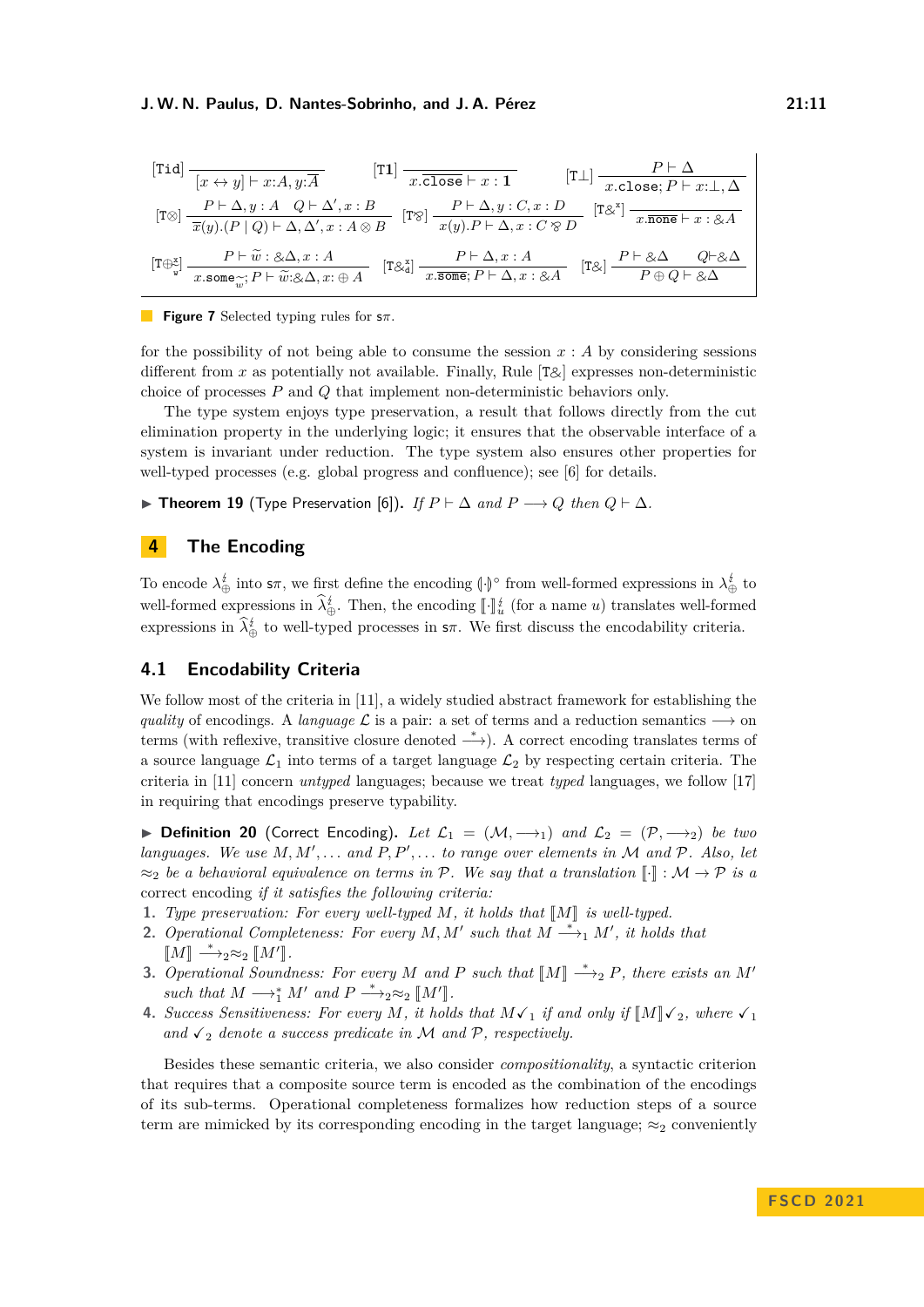<span id="page-10-1"></span>
$$
\begin{array}{|c|c|c|c|c|} \hline \text{[Tid]} & \frac{P\vdash\Delta}{[x \leftrightarrow y]\vdash x:A,y:\overline{A}} & \text{[T1]} & \frac{P\vdash\Delta}{x.\overline{\text{close}}\vdash x:1} & \text{[T\bot]} & \frac{P\vdash\Delta}{x.\text{close};P\vdash x:\bot,\Delta} \\ & & & & & \\ \hline \text{[T\otimes]} & \frac{P\vdash\Delta,y:A\quad Q\vdash\Delta',x:B}{\overline{x}(y).(P\mid Q)\vdash\Delta,\Delta',x:A\otimes B} & \text{[T\otimes]} & \frac{P\vdash\Delta,y:C,x:D}{x(y).P\vdash\Delta,x:C\otimes D} & \text{[T\otimes}^z] & \frac{1}{x.\overline{\text{none}}\vdash x:\otimes A} \\ & & & & & \\ \hline \text{[T\oplus}_{\mathbb{V}}^z & \frac{P\vdash\tilde{w}:\otimes\Delta,x:A}{x.\text{some}_{\widetilde{w}};P\vdash\tilde{w}:\otimes\Delta,x:\oplus A} & \text{[T\otimes}^z] & \frac{P\vdash\Delta,x:A}{x.\overline{\text{some}};P\vdash\Delta,x:A} & \text{[T\otimes]} & \frac{P\vdash\otimes\Delta}{P\oplus Q\vdash\otimes\Delta} \\ \hline \end{array}
$$

**Figure 7** Selected typing rules for s*π*.

for the possibility of not being able to consume the session  $x : A$  by considering sessions different from  $x$  as potentially not available. Finally, Rule  $[T\&]$  expresses non-deterministic choice of processes *P* and *Q* that implement non-deterministic behaviors only.

The type system enjoys type preservation, a result that follows directly from the cut elimination property in the underlying logic; it ensures that the observable interface of a system is invariant under reduction. The type system also ensures other properties for well-typed processes (e.g. global progress and confluence); see [\[6\]](#page-16-5) for details.

▶ **Theorem 19** (Type Preservation [\[6\]](#page-16-5)). *If*  $P \vdash \Delta$  *and*  $P \rightarrow Q$  *then*  $Q \vdash \Delta$ *.* 

# <span id="page-10-0"></span>**4 The Encoding**

To encode  $\lambda_{\oplus}^{\sharp}$  into  $s\pi$ , we first define the encoding  $\left(\cdot\right)^{\circ}$  from well-formed expressions in  $\lambda_{\oplus}^{\sharp}$  to well-formed expressions in  $\lambda_{\oplus}^i$ . Then, the encoding  $\llbracket \cdot \rrbracket_i^i$  (for a name *u*) translates well-formed expressions in  $\lambda_{\oplus}^*$  to well-typed processes in  $s\pi$ . We first discuss the encodability criteria.

# **4.1 Encodability Criteria**

We follow most of the criteria in [\[11\]](#page-16-6), a widely studied abstract framework for establishing the *quality* of encodings. A *language*  $\mathcal{L}$  is a pair: a set of terms and a reduction semantics  $\longrightarrow$  on terms (with reflexive, transitive closure denoted  $\stackrel{*}{\longrightarrow}$ ). A correct encoding translates terms of a source language  $\mathcal{L}_1$  into terms of a target language  $\mathcal{L}_2$  by respecting certain criteria. The criteria in [\[11\]](#page-16-6) concern *untyped* languages; because we treat *typed* languages, we follow [\[17\]](#page-17-6) in requiring that encodings preserve typability.

<span id="page-10-2"></span>▶ **Definition 20** (Correct Encoding). Let  $\mathcal{L}_1 = (\mathcal{M}, \longrightarrow_1)$  and  $\mathcal{L}_2 = (\mathcal{P}, \longrightarrow_2)$  be two *languages. We use M, M*′ *, . . . and P, P*′ *, . . . to range over elements in* M *and* P*. Also, let*  $\approx_2$  *be a behavioral equivalence on terms in* P. We say that a translation  $\llbracket \cdot \rrbracket : \mathcal{M} \to \mathcal{P}$  *is a* correct encoding *if it satisfies the following criteria:*

- **1.** *Type preservation: For every well-typed*  $M$ *, it holds that*  $\llbracket M \rrbracket$  *is well-typed.*
- **2.** *Operational Completeness: For every*  $M, M'$  such that  $M \stackrel{*}{\longrightarrow}_1 M'$ , it holds that  $\llbracket M \rrbracket \stackrel{*}{\longrightarrow} 2 \approx_2 \llbracket M' \rrbracket.$
- **3.** *Operational Soundness: For every M* and *P such that*  $[M] \xrightarrow{*}{}_{2} P$ *, there exists an M' such that*  $M \longrightarrow_1^* M'$  *and*  $P \longrightarrow_2^* \approx_2^* [M']$ .<br>*Kreases Consitions son For some M it had*
- **4.** Success Sensitiveness: For every M, it holds that  $M\checkmark_1$  if and only if  $\llbracket M \rrbracket \checkmark_2$ , where  $\checkmark_1$ and  $\checkmark$ <sub>2</sub> denote a success predicate in M and P, respectively.

Besides these semantic criteria, we also consider *compositionality*, a syntactic criterion that requires that a composite source term is encoded as the combination of the encodings of its sub-terms. Operational completeness formalizes how reduction steps of a source term are mimicked by its corresponding encoding in the target language;  $\approx_2$  conveniently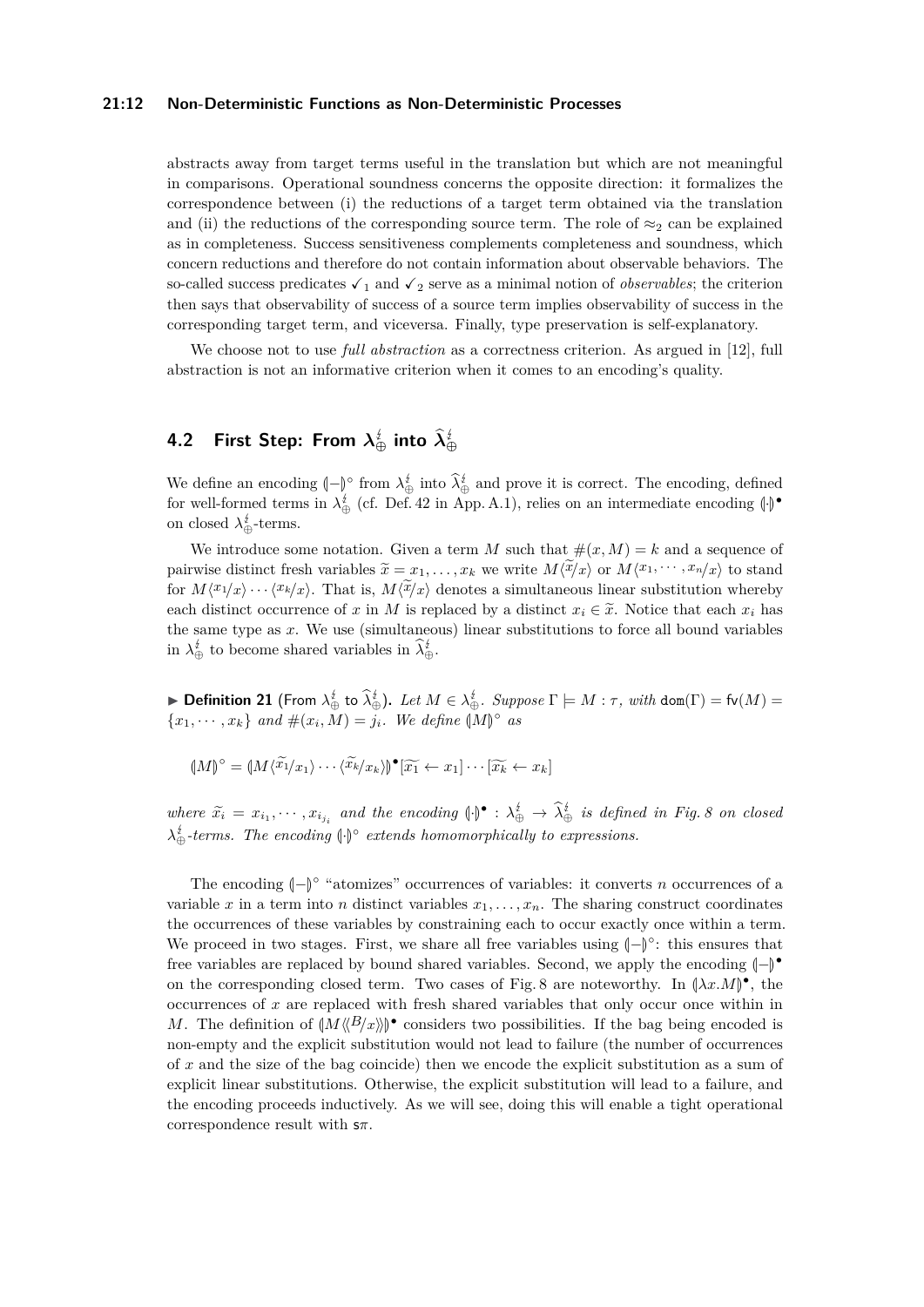## **21:12 Non-Deterministic Functions as Non-Deterministic Processes**

abstracts away from target terms useful in the translation but which are not meaningful in comparisons. Operational soundness concerns the opposite direction: it formalizes the correspondence between (i) the reductions of a target term obtained via the translation and (ii) the reductions of the corresponding source term. The role of  $\approx_2$  can be explained as in completeness. Success sensitiveness complements completeness and soundness, which concern reductions and therefore do not contain information about observable behaviors. The so-called success predicates  $\checkmark_1$  and  $\checkmark_2$  serve as a minimal notion of *observables*; the criterion then says that observability of success of a source term implies observability of success in the corresponding target term, and viceversa. Finally, type preservation is self-explanatory.

We choose not to use *full abstraction* as a correctness criterion. As argued in [\[12\]](#page-17-11), full abstraction is not an informative criterion when it comes to an encoding's quality.

# **4.2 First Step: From**  $\lambda^{\textit{t}}_{\oplus}$  **into**  $\lambda^{\textit{t}}_{\oplus}$

We define an encoding  $\left(-\right)^\circ$  from  $\lambda_{\oplus}^i$  into  $\hat{\lambda}_{\oplus}^i$  and prove it is correct. The encoding, defined for real formed terms in  $\lambda^i$  (of Def 42 in Ann A,1) using an an intermediate anomina  $\Lambda^*$ for well-formed terms in  $\lambda_{\oplus}^{i}$  (cf. Def. [42](#page-20-0) in App. [A.1\)](#page-18-2), relies on an intermediate encoding  $\langle \cdot | \cdot \rangle$ on closed  $\lambda_{\oplus}^{\sharp}$ -terms.

We introduce some notation. Given a term M such that  $\#(x, M) = k$  and a sequence of pairwise distinct fresh variables  $\widetilde{x} = x_1, \ldots, x_k$  we write  $M(\widetilde{x}/x)$  or  $M\langle x_1, \cdots, x_n/x \rangle$  to stand for  $M\langle x_1/x \rangle \cdots \langle x_k/x \rangle$ . That is,  $M\langle x/x \rangle$  denotes a simultaneous linear substitution whereby each distinct occurrence of *x* in *M* is replaced by a distinct  $x_i \in \tilde{x}$ . Notice that each  $x_i$  has the same type as *x*. We use (simultaneous) linear substitutions to force all bound variables in  $\lambda_{\oplus}^{\sharp}$  to become shared variables in  $\lambda_{\oplus}^{\sharp}$ .

**Definition 21** (From  $\lambda_{\oplus}^{\sharp}$  to  $\widehat{\lambda}_{\oplus}^{\sharp}$ ). Let  $M \in \lambda_{\oplus}^{\sharp}$ . Suppose  $\Gamma \models M : \tau$ , with dom( $\Gamma$ ) = fv( $M$ ) =  ${x_1, \dots, x_k}$  *and*  $\#(x_i, M) = j_i$ *. We define*  $(M)^\circ$  *as* 

$$
(\mathcal{M})^{\circ} = (\mathcal{M}\langle\widetilde{x_1}/x_1\rangle \cdots \langle\widetilde{x_k}/x_k\rangle) \bullet [\widetilde{x_1} \leftarrow x_1] \cdots [\widetilde{x_k} \leftarrow x_k]
$$

*where*  $\widetilde{x}_i = x_{i_1}, \dots, x_{i_j}$  and the encoding  $\{\}^{\bullet} : \lambda_{\oplus}^{\sharp} \to \widetilde{\lambda}_{\oplus}^{\sharp}$  is defined in Fig. [8](#page-12-0) on closed  $\lambda_{\oplus}^i$ -terms. The encoding  $\langle \cdot \rangle$ <sup>°</sup> extends homomorphically to expressions.

The encoding  $\langle -\rangle^{\circ}$  "atomizes" occurrences of variables: it converts *n* occurrences of a<br>in the state of distinct entitles as  $\Gamma$  as  $\Gamma$  and the constant conditions variable *x* in a term into *n* distinct variables  $x_1, \ldots, x_n$ . The sharing construct coordinates the occurrences of these variables by constraining each to occur exactly once within a term. We proceed in two stages. First, we share all free variables using  $\langle -\rangle^{\circ}$ : this ensures that  $f_{\text{res}}$  consistences using the local behavior of the same disposition of  $\mathbb{R}^{\bullet}$ . free variables are replaced by bound shared variables. Second, we apply the encoding  $\left(\frac{\cdot}{\cdot}\right)^{\bullet}$ on the corresponding closed term. Two cases of Fig. [8](#page-12-0) are noteworthy. In  $(\lambda x.M)^{\bullet}$ , the occurrences of *x* are replaced with fresh shared variables that only occur once within in *M*. The definition of  $\left(M\langle B/x \rangle\right)^{\bullet}$  considers two possibilities. If the bag being encoded is non-empty and the explicit substitution would not lead to failure (the number of occurrences of *x* and the size of the bag coincide) then we encode the explicit substitution as a sum of explicit linear substitutions. Otherwise, the explicit substitution will lead to a failure, and the encoding proceeds inductively. As we will see, doing this will enable a tight operational correspondence result with s*π*.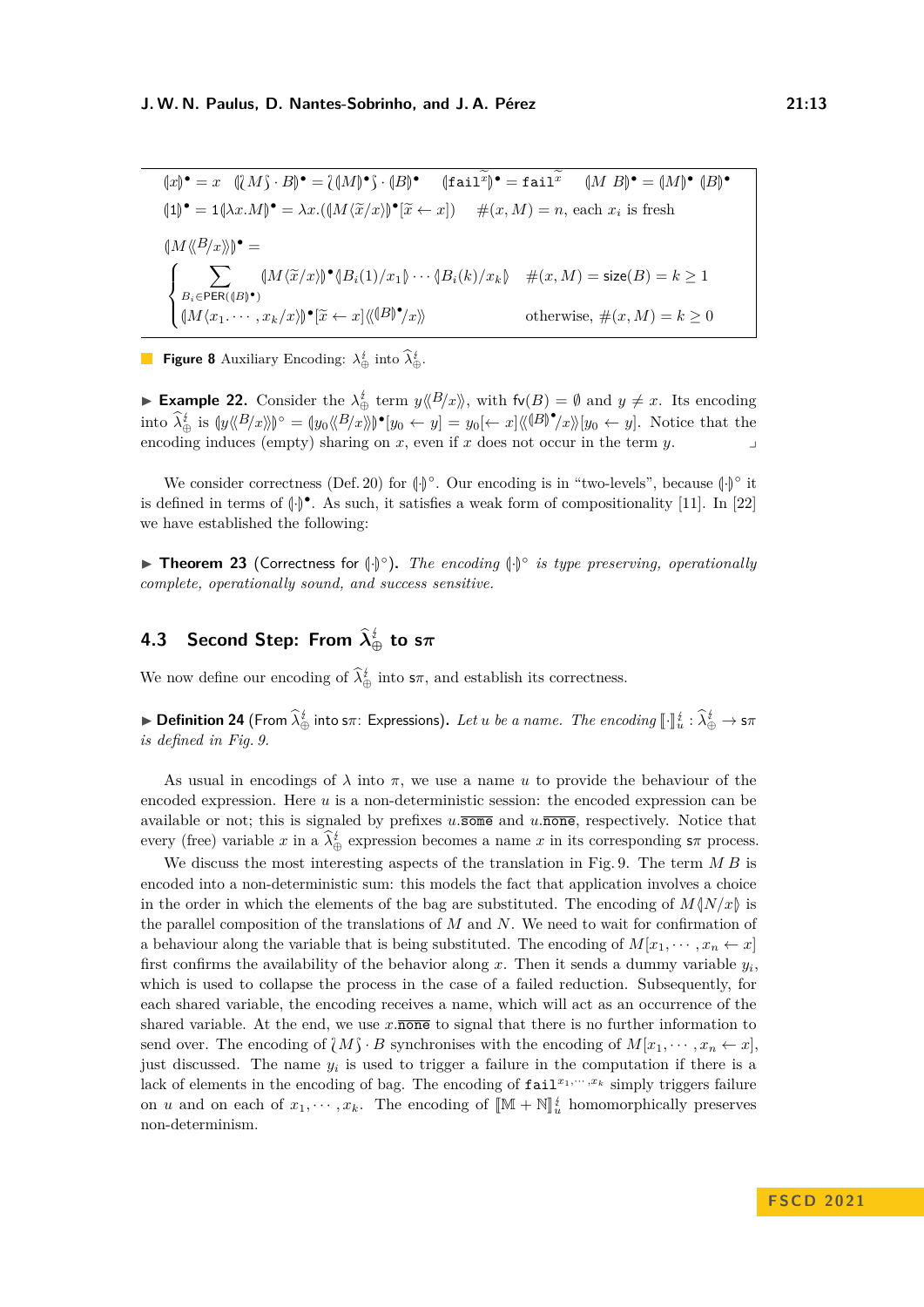<span id="page-12-0"></span> $(x)$ <sup>•</sup> = *x*  $(\lambda M) \cdot B$ <sup>•</sup> =  $(\lambda M)$ <sup>•</sup>  $\cdot$   $(B)$ <sup>•</sup>  $\lambda M$  = fail<sup>*x*</sup>  $(M \cdot B)$ <sup>•</sup> =  $(M)$ <sup>•</sup>  $(B)$ <sup>•</sup> M  $(1)^\bullet = 1(\lambda x.M)^\bullet = \lambda x.((M \langle \tilde{x}/x \rangle)^\bullet [\tilde{x} \leftarrow x])$   $\#(x,M) = n$ , each  $x_i$  is fresh  $\langle M \langle \langle B/x \rangle \rangle$  $\left(\!\!| M\langle\!\langle B \!| x \rangle\!\rangle\!\right)^\bullet =$  $\sqrt{ }$  $\int$  $\overline{\mathcal{L}}$  $\sum$  $\sum_{B_i \in \text{PER}(\langle B \rangle^{\bullet})} (M \langle \tilde{x}/x \rangle)^{\bullet} \langle B_i(1)/x_1 \rangle \cdots \langle B_i(k)/x_k \rangle \quad \#(x, M) = \text{size}(B) = k \ge 1$  $(M\langle x_1, \cdots, x_k/x \rangle) \bullet [\widetilde{x} \leftarrow x] \langle \langle \mathbb{B} \rangle^{\bullet}/x \rangle$  otherwise,  $\#(x, M) = k \ge 0$ 

**Figure 8** Auxiliary Encoding:  $\lambda_{\oplus}^{\sharp}$  into  $\lambda_{\oplus}^{\sharp}$ .

► **Example 22.** Consider the  $\lambda_{\oplus}^{\sharp}$  term  $y \langle B/x \rangle$ , with  $f\nu(B) = \emptyset$  and  $y \neq x$ . Its encoding  $\hat{\lambda}_{\Phi}^{\ell}$  is  $\{y\langle B/x \rangle\}^{\circ} = \{y_0\langle \langle B/x \rangle\}^{\bullet}[\mathbf{y}_0 \leftarrow \mathbf{y}] = y_0 \{\leftarrow x\} \langle \langle \langle B \rangle^{\bullet} \mathbf{y} \rangle \mathbf{y}_0 \leftarrow \mathbf{y}].$  Notice that the encoding induces (empty) sharing on  $x$ , even if  $x$  does not occur in the term  $y$ .

We consider correctness (Def. [20\)](#page-10-2) for  $\langle \cdot | \cdot \rangle^{\circ}$ . Our encoding is in "two-levels", because  $\langle \cdot | \cdot \rangle^{\circ}$  it is defined in terms of  $(\cdot)$ <sup> $\bullet$ </sup>. As such, it satisfies a weak form of compositionality [\[11\]](#page-16-6). In [\[22\]](#page-17-0) we have established the following:

▶ **Theorem 23** (Correctness for  $\langle \cdot | \cdot \rangle$ <sup>°</sup>). *The encoding*  $\langle \cdot | \cdot \rangle$ <sup>°</sup> *is type preserving, operationally complete, operationally sound, and success sensitive.*

# **4.3 Second Step: From** <sup>b</sup>*λ* **<sup>⊕</sup> to s***π*

<span id="page-12-1"></span>We now define our encoding of  $\lambda_{\oplus}^{\sharp}$  into  $s\pi$ , and establish its correctness.

**Expressions** Definition 24 (From  $\hat{\lambda}_{\oplus}^{\sharp}$  into s $\pi$ : Expressions). Let *u* be a name. The encoding  $[\cdot]\,^{\sharp}_{u} : \hat{\lambda}_{\oplus}^{\sharp} \to s\pi$ *is defined in Fig. [9.](#page-13-0)*

As usual in encodings of  $\lambda$  into  $\pi$ , we use a name *u* to provide the behaviour of the encoded expression. Here *u* is a non-deterministic session: the encoded expression can be available or not; this is signaled by prefixes  $u.\overline{\text{some}}$  and  $u.\overline{\text{none}}$ , respectively. Notice that every (free) variable *x* in a  $\lambda_{\oplus}^i$  expression becomes a name *x* in its corresponding  $s\pi$  process.

We discuss the most interesting aspects of the translation in Fig. [9.](#page-13-0) The term *M B* is encoded into a non-deterministic sum: this models the fact that application involves a choice in the order in which the elements of the bag are substituted. The encoding of  $M\langle N/x\rangle$  is the parallel composition of the translations of *M* and *N*. We need to wait for confirmation of a behaviour along the variable that is being substituted. The encoding of  $M[x_1, \dots, x_n \leftarrow x]$ first confirms the availability of the behavior along  $x$ . Then it sends a dummy variable  $y_i$ , which is used to collapse the process in the case of a failed reduction. Subsequently, for each shared variable, the encoding receives a name, which will act as an occurrence of the shared variable. At the end, we use  $x.\overline{\text{none}}$  to signal that there is no further information to send over. The encoding of  $\{M\} \cdot B$  synchronises with the encoding of  $M[x_1, \dots, x_n \leftarrow x]$ , just discussed. The name  $y_i$  is used to trigger a failure in the computation if there is a lack of elements in the encoding of bag. The encoding of  $\text{fail}^{x_1,\cdots,x_k}$  simply triggers failure on *u* and on each of  $x_1, \dots, x_k$ . The encoding of  $[\mathbb{M} + \mathbb{N}]_u^{\sharp}$  homomorphically preserves non-determinism.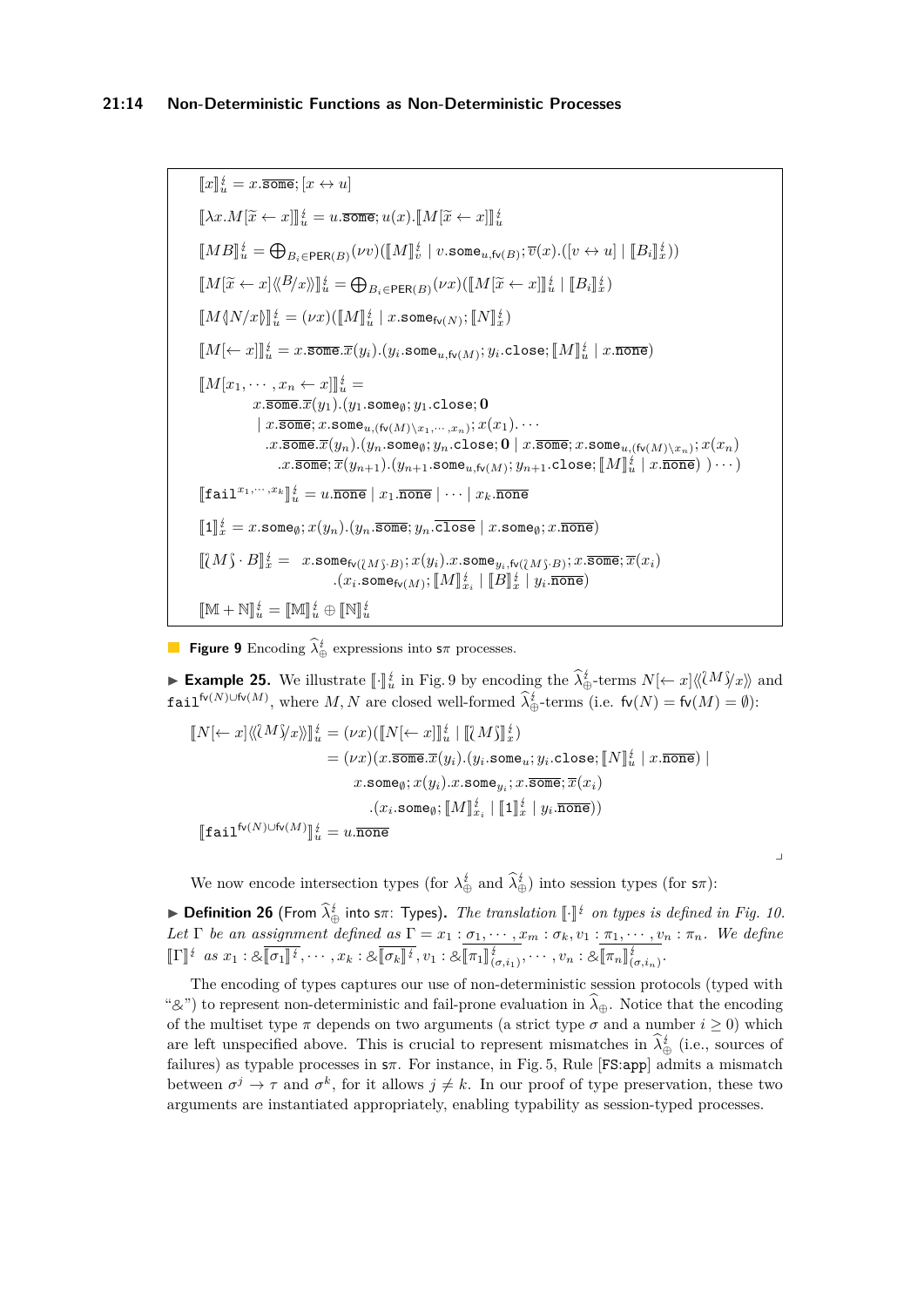<span id="page-13-0"></span> $\llbracket x \rrbracket_u^{\sharp} = x.\overline{\mathtt{some}}; [x \leftrightarrow u]$  $[[\lambda x.M[\tilde{x} \leftarrow x]]]_u^{\sharp} = u.\overline{\text{some}}; u(x).\overline{[M[\tilde{x} \leftarrow x]]]_u^{\sharp}}$  $[MB]_u^{\underline{i}} = \bigoplus_{B_i \in \mathsf{PER}(B)} (\nu v)(\llbracket M \rrbracket_v^{\underline{i}} \mid v.\mathtt{some}_{u,\mathsf{fv}(B)}; \overline{v}(x).([v \leftrightarrow u] \mid \llbracket B_i \rrbracket_x^{\underline{i}}))$  $\llbracket M[\widetilde{x} \leftarrow x] \langle \langle B/x \rangle \rangle \rrbracket_u^{\sharp} = \bigoplus_{B_i \in \mathsf{PER}(B)} (\nu x) (\llbracket M[\widetilde{x} \leftarrow x] \rrbracket_u^{\sharp} \mid \llbracket B_i \rrbracket_x^{\sharp})$  $\llbracket M \langle N/x \rangle \rrbracket_u^{\frac{t}{2}} = (\nu x)(\llbracket M \rrbracket_u^{\frac{t}{2}} \mid x.\mathtt{some}_{\mathsf{fv}(N)}; \llbracket N \rrbracket_x^{\frac{t}{2}})$  $\llbracket M[\leftarrow x]\rrbracket_{u}^{\sharp}=x.\overline{\mathtt{some}}.\overline{x}(y_i) . (y_i.\mathtt{some}_{u,\mathsf{fv}(M)};y_i.\mathtt{close}; \llbracket M\rrbracket_{u}^{\sharp} \mid x.\overline{\mathtt{none}})$  $[M[x_1, \cdots, x_n \leftarrow x]]_u^t =$  $x.\overline{\texttt{some}}.\overline{x}(y_1)$ *.*( $y_1.\texttt{some}_\emptyset$ ;  $y_1.\texttt{close}$ ; **0**  $|x.\overline{\mathtt{some}}; x.\mathtt{some}_{u,(\mathsf{fv}(M)\setminus x_1,\cdots,x_n)}; x(x_1).\cdots x_n)$  $\cdot$ *x*.some $\overline{x}(y_n)$ . $(y_n$ .some $_\emptyset; y_n$ .close;  $\overline{\mathbf{0}}$  |  $x.\overline{\mathtt{some}}; x.\mathtt{some}_{u,(\mathsf{fv}(M)\setminus x_n)}; x(x_n)$  $\ldots x.\overline{\text{some}}; \overline{x}(y_{n+1}).(y_{n+1}.\texttt{some}_{u,\textsf{fv}(M)}; y_{n+1}.\texttt{close}; [\![M]\!]_u^t | x.\overline{\texttt{none}}) )\cdots$  $[\![\texttt{fail}^{x_1,\cdots,x_k}]\!]_u^{\sharp} = u.\overline{\texttt{none}} \mid x_1.\overline{\texttt{none}} \mid \cdots \mid x_k.\overline{\texttt{none}}$  $[\![1]\!]_x^{\underline{i}} = x$ .some<sub> $\emptyset$ </sub>;  $x(y_n)$ . $(y_n.$ some;  $y_n.$ close  $|x$ .some $_{\emptyset}$ ;  $x.\overline{\text{none}})$  $[[\mathcal{M}]\cdot B]]_x^i = x$ .some $\mathfrak{f}_V(\mathcal{M}_S\cdot B); x(y_i)$ .x.some $y_i, \mathfrak{f}_V(\mathcal{M}_S\cdot B); x$ .some;  $\overline{x}(x_i)$  $\mathcal{L}(x_i.\texttt{some}_{\mathsf{fv}(M)}; [\![M]\!]_{x_i}^{\sharp} \mid [\![B]\!]_{x}^{\sharp} \mid y_i.\overline{\texttt{none}})$  $[M + N]_u^{\{t\}} = [M]_u^{\{t\}} \oplus [N]_u^{\{t\}}$ 

**Figure 9** Encoding  $\lambda_{\oplus}^{\sharp}$  expressions into  $s\pi$  processes.

<span id="page-13-1"></span>► **Example 25.** We illustrate  $\llbracket \cdot \rrbracket^k_u$  in Fig. [9](#page-13-0) by encoding the  $\hat{\lambda}^k_{\oplus}$  terms  $N[\leftarrow x] \langle \langle M \rangle^k_x \rangle$  and  $\texttt{fail}^{\text{fv}(N)\cup \text{fv}(M)}$ , where  $M, N$  are closed well-formed  $\hat{\lambda}_{\oplus}^i$ -terms (i.e.  $\text{fv}(N) = \text{fv}(M) = \emptyset$ ):

$$
\begin{aligned} [\![N[\leftarrow x]\langle\langle\mathcal{U}^M\rangle\!\rangle x\rangle\!\rangle\!]_u^{\sharp} &= (\nu x)([\![N[\leftarrow x]\!]_u^{\sharp}\!+\! [\![\mathcal{U}^M\rangle\!\!]_x^{\sharp}) \\ &= (\nu x)(x.\overline{\mathtt{some}}.\overline{x}(y_i). (y_i.\mathtt{some}_u;y_i.\mathtt{close}; [\![N]\!]_u^{\sharp}\mid x.\overline{\mathtt{none}}) \mid \\ & x.\mathtt{some}_\emptyset; x(y_i).x.\mathtt{some}_{y_i}; x.\overline{\mathtt{some}};\overline{x}(x_i) \\ & \qquad \qquad . (x_i.\mathtt{some}_\emptyset; [\![M]\!]_{x_i}^{\sharp}\mid [\![1]\!]_x^{\sharp}\mid y_i.\overline{\mathtt{none}})) \\ [\![\mathtt{fail}^{\mathsf{fv}(N)\cup\mathsf{fv}(M)}]\!]_u^{\sharp} &= u.\overline{\mathtt{none}} \end{aligned}
$$

We now encode intersection types (for  $\lambda_{\oplus}^{\sharp}$  and  $\lambda_{\oplus}^{\sharp}$ ) into session types (for  $s\pi$ ):

**► Definition 26** (From  $\hat{\lambda}_{\oplus}^{i}$  into s $\pi$ : Types). The translation  $\llbracket \cdot \rrbracket^{i}$  on types is defined in Fig. [10.](#page-14-0)<br>Let  $\Gamma$  be an accionum of defined as  $\Gamma$ *Let*  $\Gamma$  *be an assignment defined as*  $\Gamma = x_1 : \sigma_1, \dots, x_m : \sigma_k, v_1 : \pi_1, \dots, v_n : \pi_n$ . We define  $[\![\Gamma]\!]^{\frac{i}{2}}$  as  $x_1 : \&[\![\sigma_1]\!]^{\frac{i}{2}}, \cdots, x_k : \&[\![\sigma_k]\!]^{\frac{i}{2}}, v_1 : \&[\![\pi_1]\!]_{(\sigma,i_1)}^{\frac{i}{2}}, \cdots, v_n : \&[\![\pi_n]\!]_{(\sigma,i_n)}^{\frac{i}{2}}.$ 

The encoding of types captures our use of non-deterministic session protocols (typed with " $\&$ ") to represent non-deterministic and fail-prone evaluation in  $\hat{\lambda}_{\oplus}$ . Notice that the encoding of the multiset type  $\pi$  depends on two arguments (a strict type  $\sigma$  and a number  $i \geq 0$ ) which are left unspecified above. This is crucial to represent mismatches in  $\lambda_{\oplus}^{i}$  (i.e., sources of failures) as typable processes in s*π*. For instance, in Fig. [5,](#page-7-1) Rule [FS:app] admits a mismatch between  $\sigma^j \to \tau$  and  $\sigma^k$ , for it allows  $j \neq k$ . In our proof of type preservation, these two arguments are instantiated appropriately, enabling typability as session-typed processes.

⌟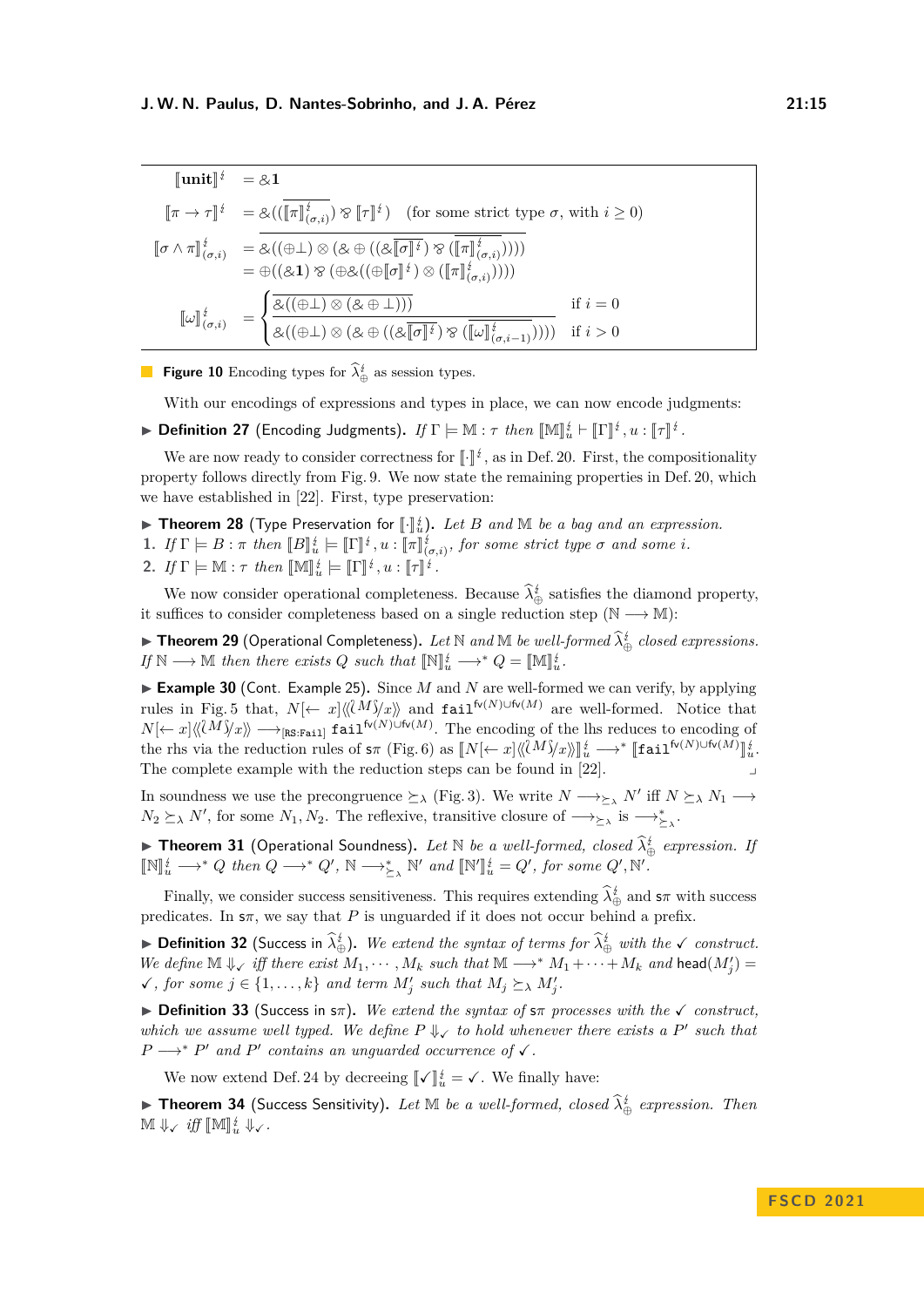<span id="page-14-0"></span>
$$
\begin{aligned}\n\llbracket \mathbf{unit} \rrbracket^{\dot{\sharp}} &= \& 1 \\
\llbracket \pi \to \tau \rrbracket^{\dot{\sharp}} &= \& ((\llbracket \pi \rrbracket^{\dot{\sharp}}_{(\sigma,i)}) \otimes \llbracket \tau \rrbracket^{\dot{\sharp}}) \quad \text{(for some strict type } \sigma \text{, with } i \geq 0) \\
\llbracket \sigma \wedge \pi \rrbracket^{\dot{\sharp}}_{(\sigma,i)} &= \& ((\oplus \bot) \otimes (\& \oplus ((\& \llbracket \sigma \rrbracket^{\dot{\sharp}}) \otimes (\llbracket \pi \rrbracket^{\dot{\sharp}}_{(\sigma,i)}))) \\
&= \oplus ((\& 1) \otimes (\oplus \& ((\oplus \llbracket \sigma \rrbracket^{\dot{\sharp}}) \otimes (\llbracket \pi \rrbracket^{\dot{\sharp}}_{(\sigma,i)}))) \\
\llbracket \omega \rrbracket^{\dot{\sharp}}_{(\sigma,i)} &= \n\begin{cases}\n\overbrace{\& ((\oplus \bot) \otimes (\& \oplus \bot)))}^{\dot{\sharp}} & \text{if } i = 0 \\
\overbrace{\& ((\oplus \bot) \otimes (\& \oplus ((\& \llbracket \sigma \rrbracket^{\dot{\sharp}}) \otimes (\llbracket \omega \rrbracket^{\dot{\sharp}}_{(\sigma,i-1)})))}^{\dot{\sharp}} & \text{if } i > 0\n\end{cases}\n\end{aligned}
$$

**Figure 10** Encoding types for  $\lambda_{\oplus}^{\sharp}$  as session types.

With our encodings of expressions and types in place, we can now encode judgments:

▶ **Definition 27** (Encoding Judgments). *If*  $\Gamma \models \mathbb{M} : \tau$  *then*  $[\![\mathbb{M}]\!]_u^{\sharp} \vdash [\![\Gamma]\!]^{\sharp}$ ,  $u : [\![\tau]\!]^{\sharp}$ .

We are now ready to consider correctness for  $\llbracket \cdot \rrbracket^{\frac{1}{2}}$ , as in Def. [20.](#page-10-2) First, the compositionality property follows directly from Fig. [9.](#page-13-0) We now state the remaining properties in Def. [20,](#page-10-2) which we have established in [\[22\]](#page-17-0). First, type preservation:

- **Example 28** (Type Preservation for  $\llbracket \cdot \rrbracket_k^{\frac{1}{4}}$ . Let *B* and M *be a bag and an expression.*<br> **1** *K* **F**  $\llbracket P \rrbracket_k = k$  **F**  $\llbracket P \rrbracket_k^{\frac{1}{4}}$  **expanding the serve strict type 5 and serve** is
- **1.** *If*  $\Gamma \models B : \pi$  *then*  $[[B]_u^t \models [[\Gamma]_u^t, u : [[\pi]_{(\sigma,i)}^t, \text{ for some strict type } \sigma \text{ and some } i$ .
- 2. *If*  $\Gamma \models \mathbb{M} : \tau$  *then*  $[\mathbb{M}]_u^{\sharp} \models [\![\Gamma]\!]^{\sharp}$ ,  $u : [\![\tau]\!]^{\sharp}$ .

We now consider operational completeness. Because  $\lambda_{\oplus}^{\sharp}$  satisfies the diamond property, it suffices to consider completeness based on a single reduction step ( $\mathbb{N} \longrightarrow \mathbb{M}$ ):

▶ **Theorem 29** (Operational Completeness). Let N and M be well-formed  $\widehat{\lambda}_{\oplus}^i$  closed expressions.  $If \mathbb{N} \longrightarrow \mathbb{M}$  then there exists  $Q$  such that  $[\mathbb{N}]_u^{\{t\}} \longrightarrow^* Q = [\mathbb{M}]_u^{\{t\}}$ .

▶ **Example 30** (Cont. Example [25\)](#page-13-1). Since *M* and *N* are well-formed we can verify, by applying rules in Fig. [5](#page-7-1) that,  $N\leftarrow x\left[\langle\langle M\rangle\langle x\rangle\rangle\right]$  and fail<sup>fv(*N*)∪fv(*M*) are well-formed. Notice that</sup>  $N[\leftarrow x]\langle\langle M\rangle\rangle x\rangle\longrightarrow_{\text{[RS:Fei1]}} \text{fail}^{\text{fv}(N)\cup\text{fv}(M)}$ . The encoding of the lhs reduces to encoding of the rhs via the reduction rules of  $s\pi$  (Fig. [6\)](#page-9-0) as  $\llbracket N \llcorner \leftarrow x \rrbracket \langle \langle M \rangle \langle x \rangle \rangle \rrbracket_u^i \longrightarrow^* \llbracket \text{fail}^{\{v(N) \cup f(v(M)\}} \rrbracket_u^i$ .<br>The complete example with the poduction steps son be found in [99] The complete example with the reduction steps can be found in  $[22]$ .

In soundness we use the precongruence  $\succeq_{\lambda}$  (Fig. [3\)](#page-5-0). We write  $N \longrightarrow_{\succeq_{\lambda}} N'$  iff  $N \succeq_{\lambda} N_1 \longrightarrow$  $N_2 \succeq_\lambda N'$ , for some  $N_1, N_2$ . The reflexive, transitive closure of  $\longrightarrow_{\succeq_\lambda}$  is  $\longrightarrow_{\succeq_\lambda}^*$ .

► **Theorem 31** (Operational Soundness). Let N be a well-formed, closed  $\hat{\lambda}^i_{\oplus}$  expression. If  $[\mathbb{N}]_u^i \longrightarrow^* Q$  then  $Q \longrightarrow^* Q'$ ,  $\mathbb{N} \longrightarrow_{\succeq_{\lambda}}^* \mathbb{N}'$  and  $[\mathbb{N}'$  $\mathbb{I}_{u}^{\sharp} = Q'$ , for some  $Q'$ , N'.

Finally, we consider success sensitiveness. This requires extending  $\lambda_{\oplus}^{\sharp}$  and  $s\pi$  with success predicates. In  $s\pi$ , we say that *P* is unguarded if it does not occur behind a prefix.

► **Definition 32** (Success in  $\hat{\lambda}_{\oplus}^{t}$ ). We extend the syntax of terms for  $\hat{\lambda}_{\oplus}^{t}$  with the  $\checkmark$  construct. *We define*  $\mathbb{M} \downarrow_{\mathcal{F}}$  *iff there exist*  $M_1, \cdots, M_k$  *such that*  $\mathbb{M} \longrightarrow^* M_1 + \cdots + M_k$  *and* head $(M'_j) =$  $\checkmark$ , for some  $j \in \{1, \ldots, k\}$  and term  $M'_j$  such that  $M_j \succeq_\lambda M'_j$ .

▶ **Definition 33** (Success in s*π*)**.** *We extend the syntax of* s*π processes with the* ✓ *construct, which we assume well typed. We define*  $P \Downarrow \checkmark$  to hold whenever there exists a P' such that  $P \longrightarrow^* P'$  *and*  $P'$  *contains an unguarded occurrence of*  $\checkmark$ .

We now extend Def. [24](#page-12-1) by decreeing  $\llbracket \checkmark \rrbracket_u^t = \checkmark$ . We finally have:

► **Theorem 34** (Success Sensitivity). Let M be a well-formed, closed  $\hat{\lambda}^i_{\oplus}$  expression. Then  $\mathbb{M} \Downarrow \checkmark$  *iff*  $\llbracket \mathbb{M} \rrbracket_u^i \Downarrow \checkmark$ .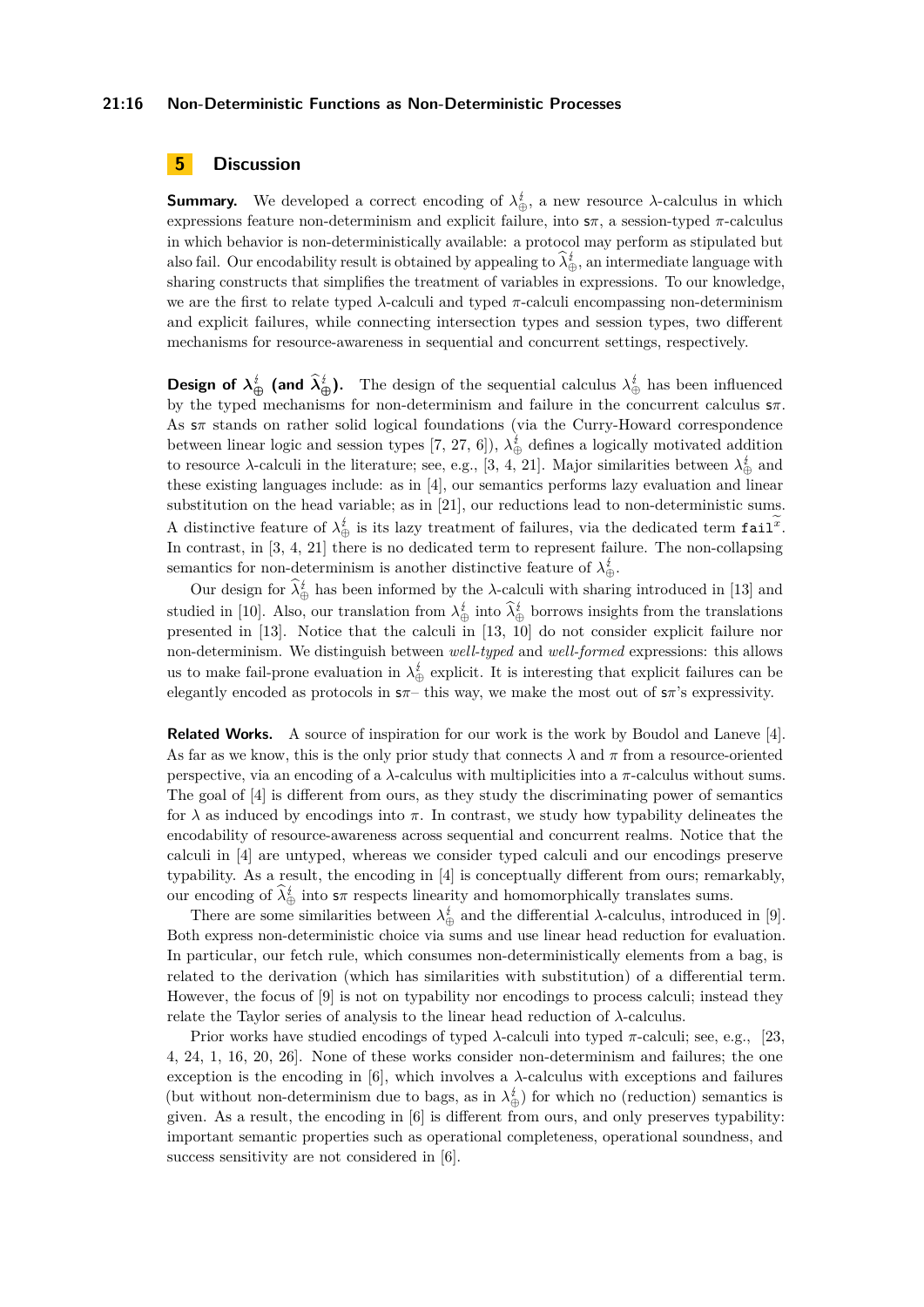## **21:16 Non-Deterministic Functions as Non-Deterministic Processes**

# <span id="page-15-0"></span>**5 Discussion**

**Summary.** We developed a correct encoding of  $\lambda^{\sharp}_{\oplus}$ , a new resource  $\lambda$ -calculus in which expressions feature non-determinism and explicit failure, into s*π*, a session-typed *π*-calculus in which behavior is non-deterministically available: a protocol may perform as stipulated but also fail. Our encodability result is obtained by appealing to  $\lambda_{\oplus}^{\sharp}$ , an intermediate language with sharing constructs that simplifies the treatment of variables in expressions. To our knowledge, we are the first to relate typed  $\lambda$ -calculi and typed  $\pi$ -calculi encompassing non-determinism and explicit failures, while connecting intersection types and session types, two different mechanisms for resource-awareness in sequential and concurrent settings, respectively.

**Design of**  $\lambda_{\oplus}^{\sharp}$  (and  $\lambda_{\oplus}^{\sharp}$ ). The design of the sequential calculus  $\lambda_{\oplus}^{\sharp}$  has been influenced by the typed mechanisms for non-determinism and failure in the concurrent calculus s*π*. As s*π* stands on rather solid logical foundations (via the Curry-Howard correspondence between linear logic and session types [\[7,](#page-16-9) [27,](#page-18-1) [6\]](#page-16-5)),  $\lambda_{\oplus}^{i}$  defines a logically motivated addition to resource  $\lambda$ -calculi in the literature; see, e.g., [\[3,](#page-16-3) [4,](#page-16-0) [21\]](#page-17-5). Major similarities between  $\lambda_{\oplus}^{i}$  and these existing languages include: as in [\[4\]](#page-16-0), our semantics performs lazy evaluation and linear substitution on the head variable; as in [\[21\]](#page-17-5), our reductions lead to non-deterministic sums. A distinctive feature of  $\lambda_{\oplus}^i$  is its lazy treatment of failures, via the dedicated term fail<sup>x</sup>. In contrast, in [\[3,](#page-16-3) [4,](#page-16-0) [21\]](#page-17-5) there is no dedicated term to represent failure. The non-collapsing semantics for non-determinism is another distinctive feature of  $\lambda_{\oplus}^{\sharp}$ .

Our design for  $\lambda_{\oplus}^{\sharp}$  has been informed by the  $\lambda$ -calculi with sharing introduced in [\[13\]](#page-17-7) and studied in [\[10\]](#page-16-7). Also, our translation from  $\lambda_{\oplus}^{\sharp}$  into  $\lambda_{\oplus}^{\sharp}$  borrows insights from the translations presented in [\[13\]](#page-17-7). Notice that the calculi in [\[13,](#page-17-7) [10\]](#page-16-7) do not consider explicit failure nor non-determinism. We distinguish between *well-typed* and *well-formed* expressions: this allows us to make fail-prone evaluation in  $\lambda_{\oplus}^i$  explicit. It is interesting that explicit failures can be elegantly encoded as protocols in s*π*– this way, we make the most out of s*π*'s expressivity.

**Related Works.** A source of inspiration for our work is the work by Boudol and Laneve [\[4\]](#page-16-0). As far as we know, this is the only prior study that connects  $\lambda$  and  $\pi$  from a resource-oriented perspective, via an encoding of a *λ*-calculus with multiplicities into a *π*-calculus without sums. The goal of [\[4\]](#page-16-0) is different from ours, as they study the discriminating power of semantics for  $\lambda$  as induced by encodings into  $\pi$ . In contrast, we study how typability delineates the encodability of resource-awareness across sequential and concurrent realms. Notice that the calculi in [\[4\]](#page-16-0) are untyped, whereas we consider typed calculi and our encodings preserve typability. As a result, the encoding in [\[4\]](#page-16-0) is conceptually different from ours; remarkably, our encoding of  $\lambda_{\oplus}^{i}$  into  $s\pi$  respects linearity and homomorphically translates sums.

There are some similarities between  $\lambda_{\oplus}^{i}$  and the differential  $\lambda$ -calculus, introduced in [\[9\]](#page-16-10). Both express non-deterministic choice via sums and use linear head reduction for evaluation. In particular, our fetch rule, which consumes non-deterministically elements from a bag, is related to the derivation (which has similarities with substitution) of a differential term. However, the focus of [\[9\]](#page-16-10) is not on typability nor encodings to process calculi; instead they relate the Taylor series of analysis to the linear head reduction of  $\lambda$ -calculus.

Prior works have studied encodings of typed  $\lambda$ -calculi into typed  $\pi$ -calculi; see, e.g., [\[23,](#page-17-2) [4,](#page-16-0) [24,](#page-17-12) [1,](#page-16-1) [16,](#page-17-4) [20,](#page-17-13) [26\]](#page-18-0). None of these works consider non-determinism and failures; the one exception is the encoding in [\[6\]](#page-16-5), which involves a  $\lambda$ -calculus with exceptions and failures (but without non-determinism due to bags, as in  $\lambda_{\oplus}^{i}$ ) for which no (reduction) semantics is given. As a result, the encoding in [\[6\]](#page-16-5) is different from ours, and only preserves typability: important semantic properties such as operational completeness, operational soundness, and success sensitivity are not considered in [\[6\]](#page-16-5).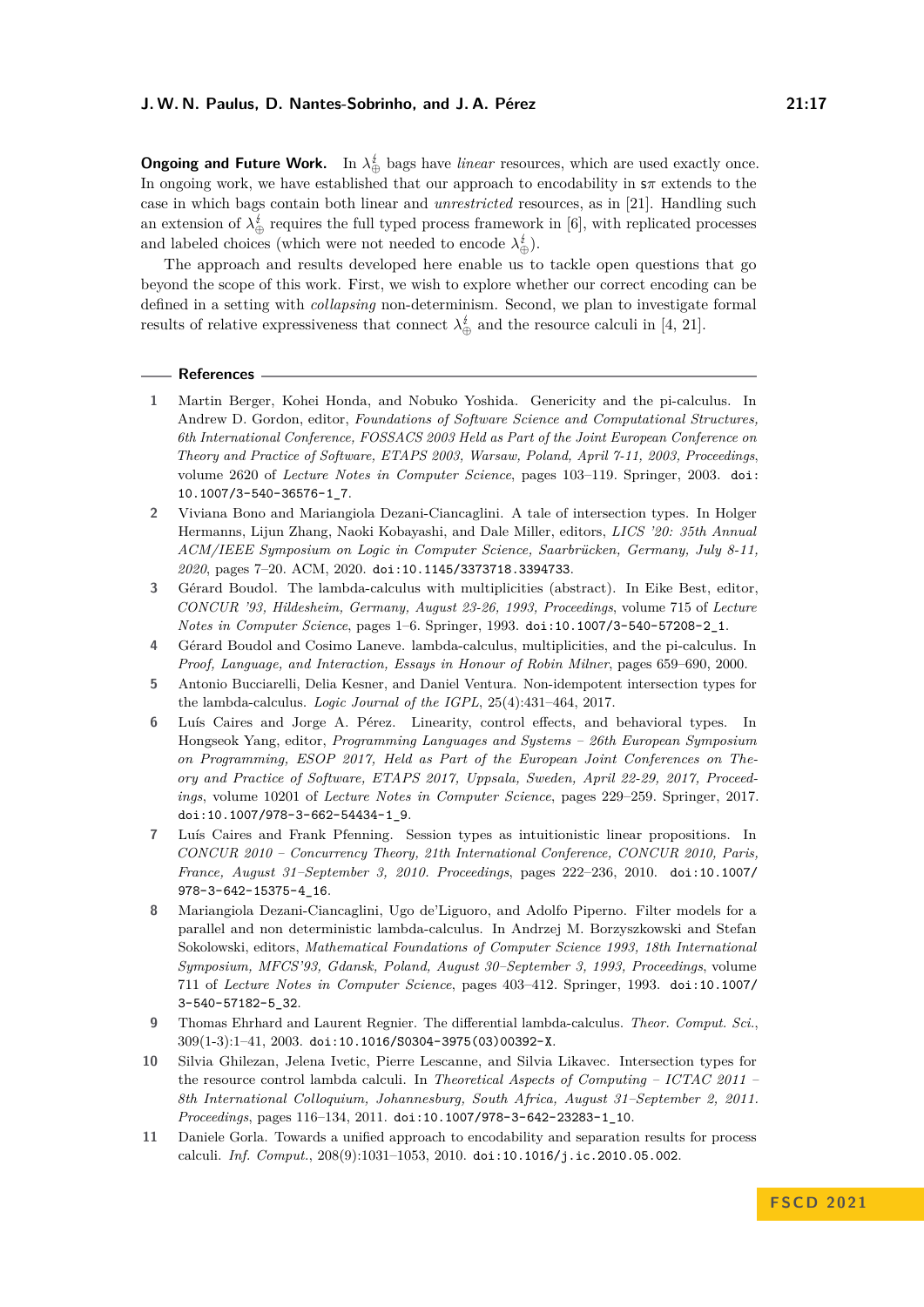**Ongoing and Future Work.** In  $\lambda_{\oplus}^t$  bags have *linear* resources, which are used exactly once. In ongoing work, we have established that our approach to encodability in s*π* extends to the case in which bags contain both linear and *unrestricted* resources, as in [\[21\]](#page-17-5). Handling such an extension of  $\lambda_{\oplus}^i$  requires the full typed process framework in [\[6\]](#page-16-5), with replicated processes and labeled choices (which were not needed to encode  $\lambda_{\oplus}^{\sharp}$ ).

The approach and results developed here enable us to tackle open questions that go beyond the scope of this work. First, we wish to explore whether our correct encoding can be defined in a setting with *collapsing* non-determinism. Second, we plan to investigate formal results of relative expressiveness that connect  $\lambda_{\oplus}^i$  and the resource calculi in [\[4,](#page-16-0) [21\]](#page-17-5).

#### **References**

- <span id="page-16-1"></span>**1** Martin Berger, Kohei Honda, and Nobuko Yoshida. Genericity and the pi-calculus. In Andrew D. Gordon, editor, *Foundations of Software Science and Computational Structures, 6th International Conference, FOSSACS 2003 Held as Part of the Joint European Conference on Theory and Practice of Software, ETAPS 2003, Warsaw, Poland, April 7-11, 2003, Proceedings*, volume 2620 of *Lecture Notes in Computer Science*, pages 103–119. Springer, 2003. [doi:](https://doi.org/10.1007/3-540-36576-1_7) [10.1007/3-540-36576-1\\_7](https://doi.org/10.1007/3-540-36576-1_7).
- <span id="page-16-2"></span>**2** Viviana Bono and Mariangiola Dezani-Ciancaglini. A tale of intersection types. In Holger Hermanns, Lijun Zhang, Naoki Kobayashi, and Dale Miller, editors, *LICS '20: 35th Annual ACM/IEEE Symposium on Logic in Computer Science, Saarbrücken, Germany, July 8-11, 2020*, pages 7–20. ACM, 2020. [doi:10.1145/3373718.3394733](https://doi.org/10.1145/3373718.3394733).
- <span id="page-16-3"></span>**3** Gérard Boudol. The lambda-calculus with multiplicities (abstract). In Eike Best, editor, *CONCUR '93, Hildesheim, Germany, August 23-26, 1993, Proceedings*, volume 715 of *Lecture Notes in Computer Science*, pages 1–6. Springer, 1993. [doi:10.1007/3-540-57208-2\\_1](https://doi.org/10.1007/3-540-57208-2_1).
- <span id="page-16-0"></span>**4** Gérard Boudol and Cosimo Laneve. lambda-calculus, multiplicities, and the pi-calculus. In *Proof, Language, and Interaction, Essays in Honour of Robin Milner*, pages 659–690, 2000.
- <span id="page-16-8"></span>**5** Antonio Bucciarelli, Delia Kesner, and Daniel Ventura. Non-idempotent intersection types for the lambda-calculus. *Logic Journal of the IGPL*, 25(4):431–464, 2017.
- <span id="page-16-5"></span>Luís Caires and Jorge A. Pérez. Linearity, control effects, and behavioral types. In Hongseok Yang, editor, *Programming Languages and Systems – 26th European Symposium on Programming, ESOP 2017, Held as Part of the European Joint Conferences on Theory and Practice of Software, ETAPS 2017, Uppsala, Sweden, April 22-29, 2017, Proceedings*, volume 10201 of *Lecture Notes in Computer Science*, pages 229–259. Springer, 2017. [doi:10.1007/978-3-662-54434-1\\_9](https://doi.org/10.1007/978-3-662-54434-1_9).
- <span id="page-16-9"></span>**7** Luís Caires and Frank Pfenning. Session types as intuitionistic linear propositions. In *CONCUR 2010 – Concurrency Theory, 21th International Conference, CONCUR 2010, Paris, France, August 31–September 3, 2010. Proceedings*, pages 222–236, 2010. [doi:10.1007/](https://doi.org/10.1007/978-3-642-15375-4_16) [978-3-642-15375-4\\_16](https://doi.org/10.1007/978-3-642-15375-4_16).
- <span id="page-16-4"></span>**8** Mariangiola Dezani-Ciancaglini, Ugo de'Liguoro, and Adolfo Piperno. Filter models for a parallel and non deterministic lambda-calculus. In Andrzej M. Borzyszkowski and Stefan Sokolowski, editors, *Mathematical Foundations of Computer Science 1993, 18th International Symposium, MFCS'93, Gdansk, Poland, August 30–September 3, 1993, Proceedings*, volume 711 of *Lecture Notes in Computer Science*, pages 403–412. Springer, 1993. [doi:10.1007/](https://doi.org/10.1007/3-540-57182-5_32) [3-540-57182-5\\_32](https://doi.org/10.1007/3-540-57182-5_32).
- <span id="page-16-10"></span>**9** Thomas Ehrhard and Laurent Regnier. The differential lambda-calculus. *Theor. Comput. Sci.*, 309(1-3):1–41, 2003. [doi:10.1016/S0304-3975\(03\)00392-X](https://doi.org/10.1016/S0304-3975(03)00392-X).
- <span id="page-16-7"></span>**10** Silvia Ghilezan, Jelena Ivetic, Pierre Lescanne, and Silvia Likavec. Intersection types for the resource control lambda calculi. In *Theoretical Aspects of Computing – ICTAC 2011 – 8th International Colloquium, Johannesburg, South Africa, August 31–September 2, 2011. Proceedings*, pages 116–134, 2011. [doi:10.1007/978-3-642-23283-1\\_10](https://doi.org/10.1007/978-3-642-23283-1_10).
- <span id="page-16-6"></span>**11** Daniele Gorla. Towards a unified approach to encodability and separation results for process calculi. *Inf. Comput.*, 208(9):1031–1053, 2010. [doi:10.1016/j.ic.2010.05.002](https://doi.org/10.1016/j.ic.2010.05.002).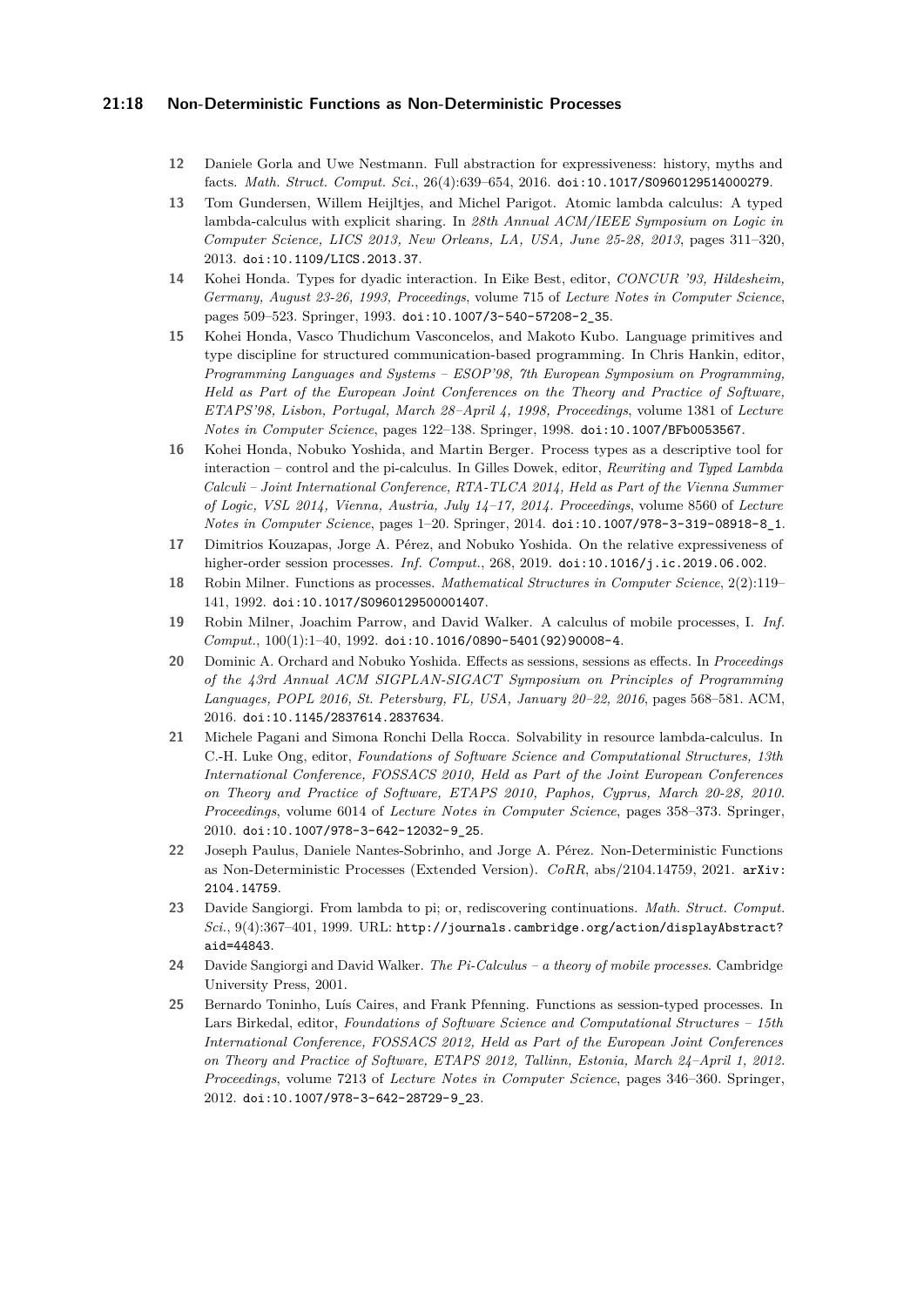## **21:18 Non-Deterministic Functions as Non-Deterministic Processes**

- <span id="page-17-11"></span>**12** Daniele Gorla and Uwe Nestmann. Full abstraction for expressiveness: history, myths and facts. *Math. Struct. Comput. Sci.*, 26(4):639–654, 2016. [doi:10.1017/S0960129514000279](https://doi.org/10.1017/S0960129514000279).
- <span id="page-17-7"></span>**13** Tom Gundersen, Willem Heijltjes, and Michel Parigot. Atomic lambda calculus: A typed lambda-calculus with explicit sharing. In *28th Annual ACM/IEEE Symposium on Logic in Computer Science, LICS 2013, New Orleans, LA, USA, June 25-28, 2013*, pages 311–320, 2013. [doi:10.1109/LICS.2013.37](https://doi.org/10.1109/LICS.2013.37).
- <span id="page-17-9"></span>**14** Kohei Honda. Types for dyadic interaction. In Eike Best, editor, *CONCUR '93, Hildesheim, Germany, August 23-26, 1993, Proceedings*, volume 715 of *Lecture Notes in Computer Science*, pages 509–523. Springer, 1993. [doi:10.1007/3-540-57208-2\\_35](https://doi.org/10.1007/3-540-57208-2_35).
- <span id="page-17-10"></span>**15** Kohei Honda, Vasco Thudichum Vasconcelos, and Makoto Kubo. Language primitives and type discipline for structured communication-based programming. In Chris Hankin, editor, *Programming Languages and Systems – ESOP'98, 7th European Symposium on Programming, Held as Part of the European Joint Conferences on the Theory and Practice of Software, ETAPS'98, Lisbon, Portugal, March 28–April 4, 1998, Proceedings*, volume 1381 of *Lecture Notes in Computer Science*, pages 122–138. Springer, 1998. [doi:10.1007/BFb0053567](https://doi.org/10.1007/BFb0053567).
- <span id="page-17-4"></span>**16** Kohei Honda, Nobuko Yoshida, and Martin Berger. Process types as a descriptive tool for interaction – control and the pi-calculus. In Gilles Dowek, editor, *Rewriting and Typed Lambda Calculi – Joint International Conference, RTA-TLCA 2014, Held as Part of the Vienna Summer of Logic, VSL 2014, Vienna, Austria, July 14–17, 2014. Proceedings*, volume 8560 of *Lecture Notes in Computer Science*, pages 1–20. Springer, 2014. [doi:10.1007/978-3-319-08918-8\\_1](https://doi.org/10.1007/978-3-319-08918-8_1).
- <span id="page-17-6"></span>**17** Dimitrios Kouzapas, Jorge A. Pérez, and Nobuko Yoshida. On the relative expressiveness of higher-order session processes. *Inf. Comput.*, 268, 2019. [doi:10.1016/j.ic.2019.06.002](https://doi.org/10.1016/j.ic.2019.06.002).
- <span id="page-17-1"></span>**18** Robin Milner. Functions as processes. *Mathematical Structures in Computer Science*, 2(2):119– 141, 1992. [doi:10.1017/S0960129500001407](https://doi.org/10.1017/S0960129500001407).
- <span id="page-17-8"></span>**19** Robin Milner, Joachim Parrow, and David Walker. A calculus of mobile processes, I. *Inf. Comput.*, 100(1):1–40, 1992. [doi:10.1016/0890-5401\(92\)90008-4](https://doi.org/10.1016/0890-5401(92)90008-4).
- <span id="page-17-13"></span>**20** Dominic A. Orchard and Nobuko Yoshida. Effects as sessions, sessions as effects. In *Proceedings of the 43rd Annual ACM SIGPLAN-SIGACT Symposium on Principles of Programming Languages, POPL 2016, St. Petersburg, FL, USA, January 20–22, 2016*, pages 568–581. ACM, 2016. [doi:10.1145/2837614.2837634](https://doi.org/10.1145/2837614.2837634).
- <span id="page-17-5"></span>**21** Michele Pagani and Simona Ronchi Della Rocca. Solvability in resource lambda-calculus. In C.-H. Luke Ong, editor, *Foundations of Software Science and Computational Structures, 13th International Conference, FOSSACS 2010, Held as Part of the Joint European Conferences on Theory and Practice of Software, ETAPS 2010, Paphos, Cyprus, March 20-28, 2010. Proceedings*, volume 6014 of *Lecture Notes in Computer Science*, pages 358–373. Springer, 2010. [doi:10.1007/978-3-642-12032-9\\_25](https://doi.org/10.1007/978-3-642-12032-9_25).
- <span id="page-17-0"></span>**22** Joseph Paulus, Daniele Nantes-Sobrinho, and Jorge A. Pérez. Non-Deterministic Functions as Non-Deterministic Processes (Extended Version). *CoRR*, abs/2104.14759, 2021. [arXiv:](http://arxiv.org/abs/2104.14759) [2104.14759](http://arxiv.org/abs/2104.14759).
- <span id="page-17-2"></span>**23** Davide Sangiorgi. From lambda to pi; or, rediscovering continuations. *Math. Struct. Comput. Sci.*, 9(4):367–401, 1999. URL: [http://journals.cambridge.org/action/displayAbstract?](http://journals.cambridge.org/action/displayAbstract?aid=44843) [aid=44843](http://journals.cambridge.org/action/displayAbstract?aid=44843).
- <span id="page-17-12"></span>**24** Davide Sangiorgi and David Walker. *The Pi-Calculus – a theory of mobile processes*. Cambridge University Press, 2001.
- <span id="page-17-3"></span>**25** Bernardo Toninho, Luís Caires, and Frank Pfenning. Functions as session-typed processes. In Lars Birkedal, editor, *Foundations of Software Science and Computational Structures – 15th International Conference, FOSSACS 2012, Held as Part of the European Joint Conferences on Theory and Practice of Software, ETAPS 2012, Tallinn, Estonia, March 24–April 1, 2012. Proceedings*, volume 7213 of *Lecture Notes in Computer Science*, pages 346–360. Springer, 2012. [doi:10.1007/978-3-642-28729-9\\_23](https://doi.org/10.1007/978-3-642-28729-9_23).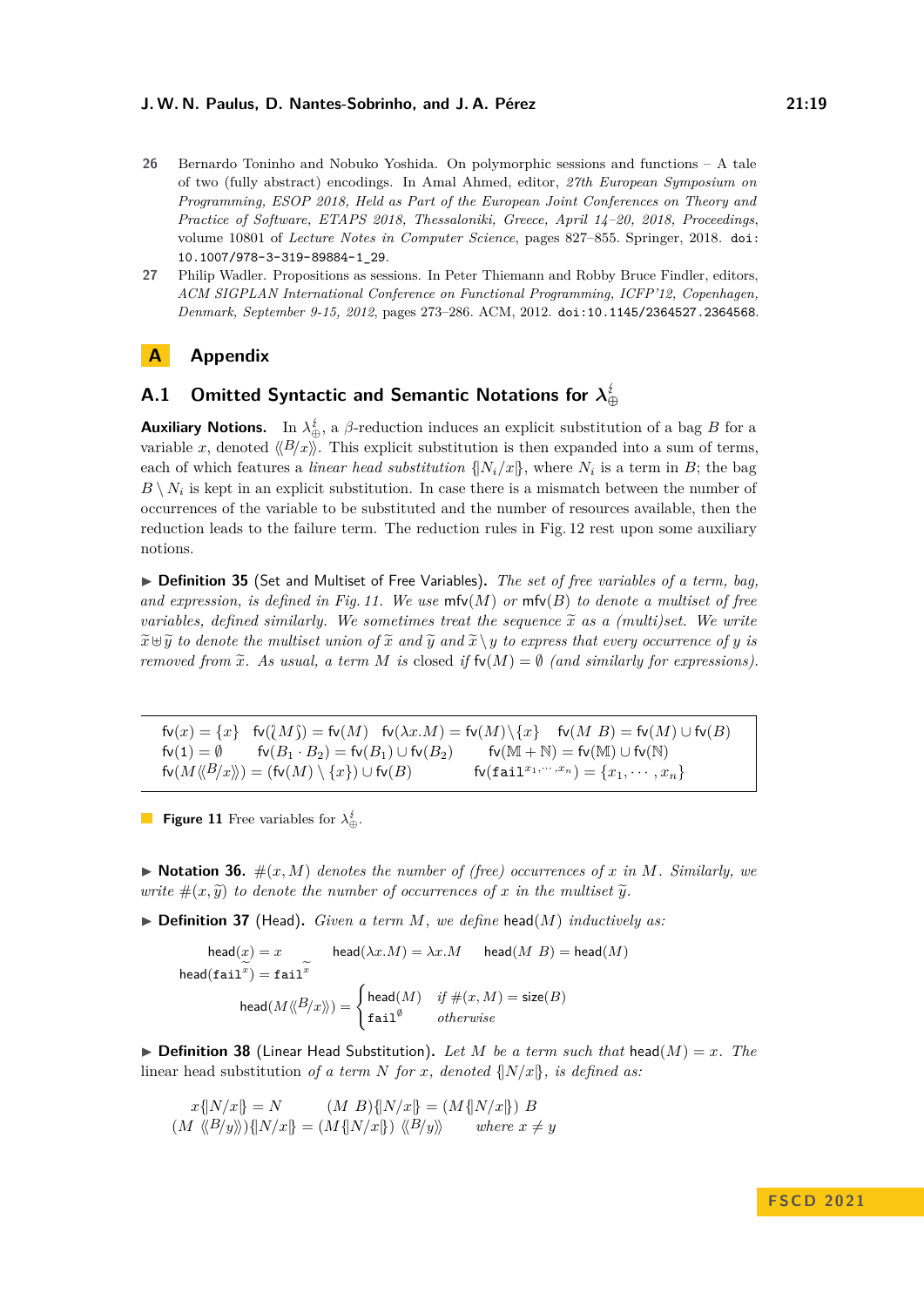#### **J. W. N. Paulus, D. Nantes-Sobrinho, and J. A. Pérez 21:19**

- <span id="page-18-0"></span>**26** Bernardo Toninho and Nobuko Yoshida. On polymorphic sessions and functions – A tale of two (fully abstract) encodings. In Amal Ahmed, editor, *27th European Symposium on Programming, ESOP 2018, Held as Part of the European Joint Conferences on Theory and Practice of Software, ETAPS 2018, Thessaloniki, Greece, April 14–20, 2018, Proceedings*, volume 10801 of *Lecture Notes in Computer Science*, pages 827–855. Springer, 2018. [doi:](https://doi.org/10.1007/978-3-319-89884-1_29) [10.1007/978-3-319-89884-1\\_29](https://doi.org/10.1007/978-3-319-89884-1_29).
- <span id="page-18-1"></span>**27** Philip Wadler. Propositions as sessions. In Peter Thiemann and Robby Bruce Findler, editors, *ACM SIGPLAN International Conference on Functional Programming, ICFP'12, Copenhagen, Denmark, September 9-15, 2012*, pages 273–286. ACM, 2012. [doi:10.1145/2364527.2364568](https://doi.org/10.1145/2364527.2364568).

# **A Appendix**

# <span id="page-18-2"></span>**A.1 Omitted Syntactic and Semantic Notations for** *λ* **⊕**

**Auxiliary Notions.** In  $\lambda_{\oplus}^i$ , a  $\beta$ -reduction induces an explicit substitution of a bag *B* for a variable *x*, denoted  $\langle B/x \rangle$ . This explicit substitution is then expanded into a sum of terms, each of which features a *linear head substitution*  $\{N_i/x\}$ , where  $N_i$  is a term in *B*; the bag  $B \setminus N_i$  is kept in an explicit substitution. In case there is a mismatch between the number of occurrences of the variable to be substituted and the number of resources available, then the reduction leads to the failure term. The reduction rules in Fig. [12](#page-19-0) rest upon some auxiliary notions.

▶ **Definition 35** (Set and Multiset of Free Variables)**.** *The set of free variables of a term, bag, and expression, is defined in Fig. [11.](#page-18-3) We use* mfv(*M*) *or* mfv(*B*) *to denote a multiset of free variables, defined similarly. We sometimes treat the sequence*  $\tilde{x}$  *as a (multi)set. We write*  $\widetilde{x} \oplus \widetilde{y}$  *to denote the multiset union of*  $\widetilde{x}$  *and*  $\widetilde{y}$  *and*  $\widetilde{x} \setminus y$  *to express that every occurrence of y is removed from*  $\tilde{x}$ *. As usual, a term M is* closed *if*  $f(v(M)) = \emptyset$  *(and similarly for expressions).* 

<span id="page-18-3"></span> $f\nu(x) = \{x\}$   $f\nu(\{M\}) = f\nu(M)$   $f\nu(\lambda x.M) = f\nu(M)\setminus\{x\}$   $f\nu(M B) = f\nu(M) \cup f\nu(B)$ <br> $f\nu(1) = \emptyset$   $f\nu(B_1 \cdot B_2) = f\nu(B_1) \cup f\nu(B_2)$   $f\nu(M + N) = f\nu(M) \cup f\nu(N)$  $\mathsf{fv}(B_1 \cdot B_2) = \mathsf{fv}(B_1) \cup \mathsf{fv}(B_2)$  fv $(\mathbb{M} + \mathbb{N}) = \mathsf{fv}(\mathbb{M}) \cup \mathsf{fv}(\mathbb{N})$  $f\nu(M\langle B/x \rangle) = (f\nu(M) \setminus \{x\}) \cup f\nu(B)$   $f\nu(f{\tt{ail}}^{x_1,\cdots,x_n}) = \{x_1,\cdots,x_n\}$ 

**Figure 11** Free variables for  $\lambda_{\oplus}^t$ .

 $\blacktriangleright$  **Notation 36.**  $\#(x, M)$  denotes the number of (free) occurrences of x in M. Similarly, we *write*  $\#(x, \tilde{y})$  *to denote the number of occurrences of x in the multiset*  $\tilde{y}$ *.* 

▶ **Definition 37** (Head)**.** *Given a term M, we define* head(*M*) *inductively as:*

$$
\begin{aligned}\n\text{head}(x) &= x & \text{head}(\lambda x.M) &= \lambda x.M & \text{head}(M\ B) &= \text{head}(M) \\
\text{head}(\mathtt{fail}^x) &= \mathtt{fail}^x & \\
\text{head}(M \langle \langle B \rangle x \rangle) &= \begin{cases}\n\text{head}(M) & \text{if } \#(x,M) = \text{size}(B) \\
\text{fail}^{\emptyset} & \text{otherwise}\n\end{cases}\n\end{aligned}
$$

 $\triangleright$  **Definition 38** (Linear Head Substitution). Let M be a term such that head(M) = x. The linear head substitution *of a term N for x, denoted*  $\{N/x\}$ *, is defined as:* 

$$
x\{N/x\} = N \qquad (M \ B)\{N/x\} = (M\{N/x\}) \ B
$$

$$
(M \ \langle\langle B/y\rangle\rangle)\{N/x\} = (M\{N/x\}) \ \langle\langle B/y\rangle\rangle \qquad \text{where } x \neq y
$$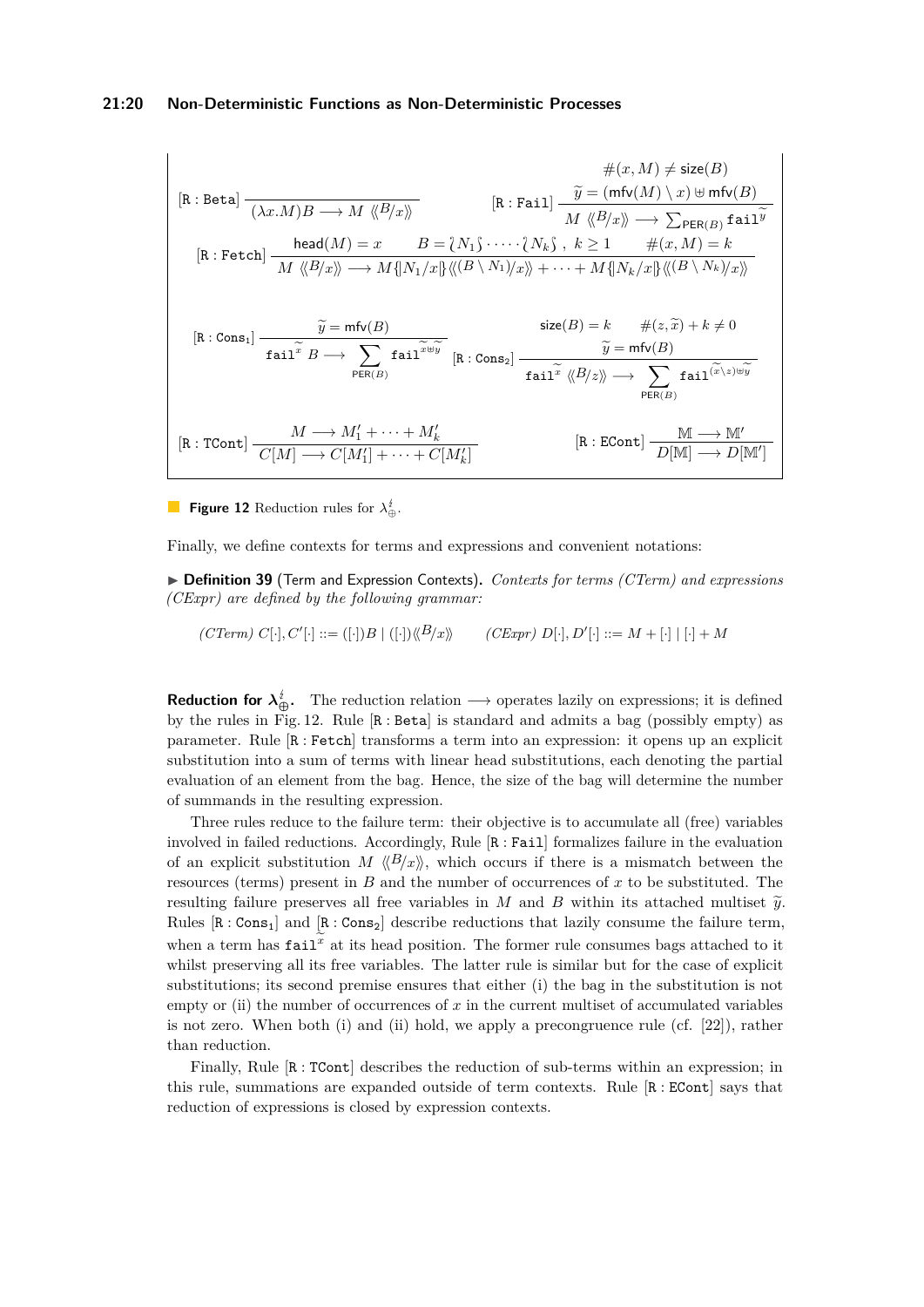#### **21:20 Non-Deterministic Functions as Non-Deterministic Processes**

<span id="page-19-0"></span>
$$
\#(x,M) \neq \text{size}(B)
$$
\n
$$
[\text{R} : \text{Beta}] \xrightarrow{(\lambda x.M)B \longrightarrow M \langle \langle B/x \rangle \rangle} [\text{R} : \text{fail}] \xrightarrow{ \widetilde{y} = (\text{mfv}(M) \setminus x) \uplus \text{mfv}(B)}
$$
\n
$$
[\text{R} : \text{Fetch}] \xrightarrow{head(M) = x} B = \{N_1\} \cdot \cdots \cdot \{N_k\}, k \ge 1 \qquad \#(x,M) = k
$$
\n
$$
[\text{R} : \text{Cons}_1] \xrightarrow{ \widetilde{y} = \text{mfv}(B)}
$$
\n
$$
[\text{R} : \text{Cons}_2] \xrightarrow{ \widetilde{y} = \text{mfv}(B)}
$$
\n
$$
\text{size}(B) = k \qquad \#(z, \widetilde{x}) + k \ne 0
$$
\n
$$
\text{size}(B) = k \qquad \#(z, \widetilde{x}) + k \ne 0
$$
\n
$$
\overline{y} = \text{mfv}(B)
$$
\n
$$
\text{size}(B) = k \qquad \#(z, \widetilde{x}) + k \ne 0
$$
\n
$$
\overline{y} = \text{mfv}(B)
$$
\n
$$
\text{size}(B) = k \qquad \#(z, \widetilde{x}) + k \ne 0
$$
\n
$$
\overline{y} = \text{mfv}(B)
$$
\n
$$
\text{rank}(B/x) \xrightarrow{ \widetilde{y} = \text{mfv}(B)}
$$
\n
$$
\text{rank}(B/x) \xrightarrow{ \widetilde{y} = \text{mfv}(B)}
$$
\n
$$
\text{rank}(B/x) \xrightarrow{ \widetilde{y} = \text{mfv}(B)}
$$
\n
$$
\text{rank}(B/x) \xrightarrow{ \widetilde{y} = \text{mfv}(B)}
$$
\n
$$
\text{rank}(B/x) \xrightarrow{ \widetilde{y} = \text{mfv}(B)}
$$
\n
$$
\text{rank}(B/x) \xrightarrow{ \widetilde{y} = \text{mfv}(B)}
$$
\n
$$
\text{rank}(B/x) \xrightarrow{ \widetilde{y} = \text{mfv}(B)}
$$
\n
$$
\text{rank}(B/x) \xrightarrow{ \widetilde{
$$

**Figure 12** Reduction rules for  $\lambda_{\oplus}^i$ .

Finally, we define contexts for terms and expressions and convenient notations:

▶ **Definition 39** (Term and Expression Contexts). *Contexts for terms (CTerm) and expressions (CExpr) are defined by the following grammar:*

 $(CTerm) C[\cdot], C'[\cdot] ::= ([\cdot])B | ([\cdot]) \langle B/x \rangle \rangle$   $(CExpr) D[\cdot], D'[\cdot] ::= M + [\cdot] | [\cdot] + M$ 

**Reduction for**  $\lambda_{\bigoplus}^i$ . The reduction relation  $\longrightarrow$  operates lazily on expressions; it is defined by the rules in Fig. [12.](#page-19-0) Rule [R : Beta] is standard and admits a bag (possibly empty) as parameter. Rule [R : Fetch] transforms a term into an expression: it opens up an explicit substitution into a sum of terms with linear head substitutions, each denoting the partial evaluation of an element from the bag. Hence, the size of the bag will determine the number of summands in the resulting expression.

Three rules reduce to the failure term: their objective is to accumulate all (free) variables involved in failed reductions. Accordingly, Rule [R : Fail] formalizes failure in the evaluation of an explicit substitution *M*  $\langle B/x \rangle$ , which occurs if there is a mismatch between the resources (terms) present in *B* and the number of occurrences of *x* to be substituted. The resulting failure preserves all free variables in *M* and *B* within its attached multiset  $\tilde{y}$ . Rules  $[R: Cons_1]$  and  $[R: Cons_2]$  describe reductions that lazily consume the failure term, when a term has  $\text{fail}^x$  at its head position. The former rule consumes bags attached to it whilst preserving all its free variables. The latter rule is similar but for the case of explicit substitutions; its second premise ensures that either (i) the bag in the substitution is not empty or (ii) the number of occurrences of  $x$  in the current multiset of accumulated variables is not zero. When both (i) and (ii) hold, we apply a precongruence rule (cf. [\[22\]](#page-17-0)), rather than reduction.

Finally, Rule  $\left[\mathbb{R}:\mathsf{TCont}\right]$  describes the reduction of sub-terms within an expression; in this rule, summations are expanded outside of term contexts. Rule  $[R: ECont]$  says that reduction of expressions is closed by expression contexts.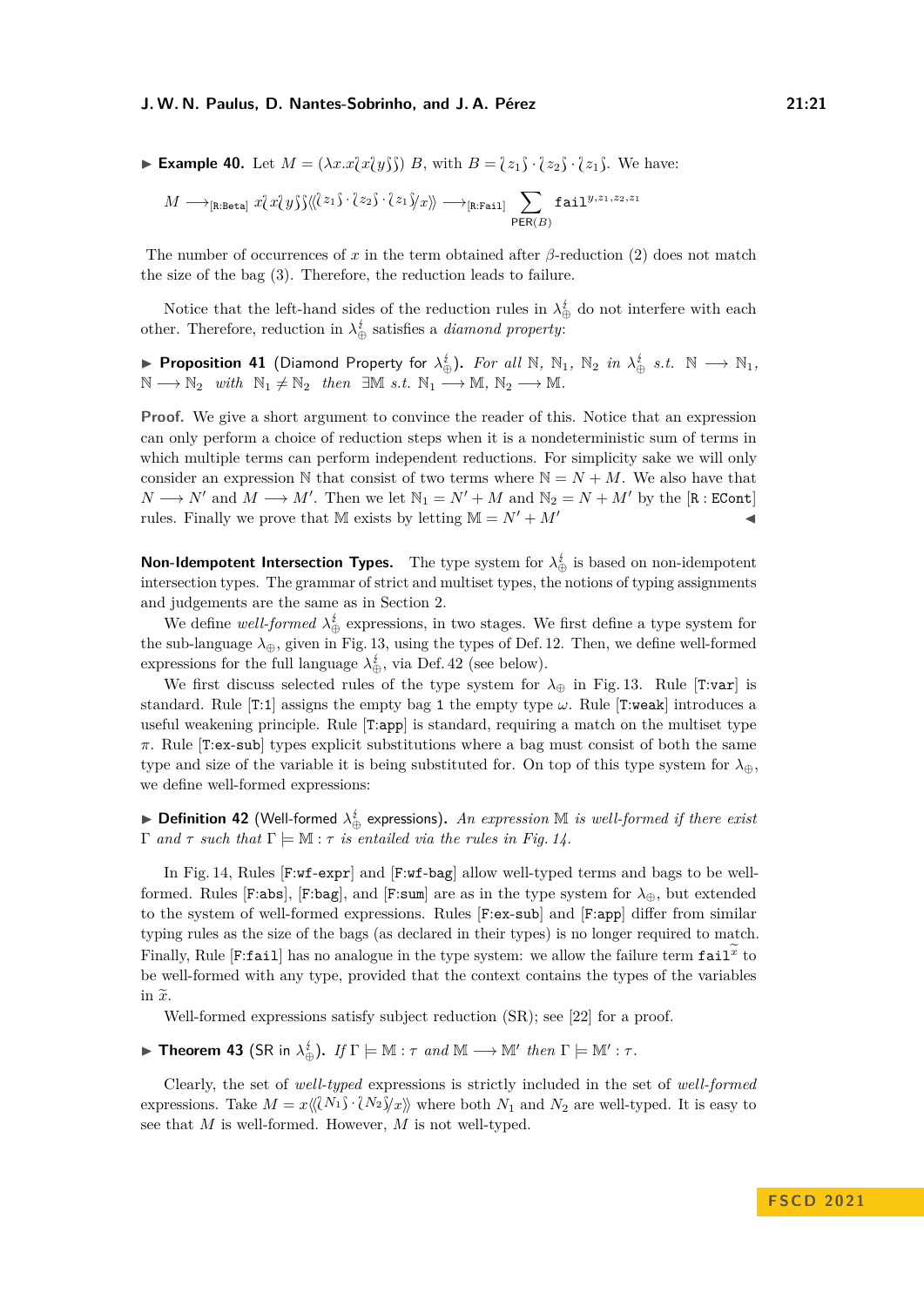#### **J. W. N. Paulus, D. Nantes-Sobrinho, and J. A. Pérez 21:21**

**Example 40.** Let  $M = (\lambda x.x/\lambda y)\hat{}$  *B*, with  $B = \{\overline{z_1}\} \cdot \{\overline{z_2}\} \cdot \{\overline{z_1}\}$ . We have:

$$
M \longrightarrow_{\text{[R:Beta]}} x\{x\{y\}\} \langle\!\langle\bar{\ell}z_1\bar{\jmath}\cdot\bar{\ell}z_2\bar{\jmath}\cdot\bar{\ell}z_1\bar{\jmath}\rangle\langle x\rangle\!\rangle \longrightarrow_{\text{[R:Fail]}} \sum_{\mathsf{PER}(B)} \mathtt{fail}^{y,z_1,z_2,z_1}
$$

The number of occurrences of *x* in the term obtained after *β*-reduction (2) does not match the size of the bag (3). Therefore, the reduction leads to failure.

Notice that the left-hand sides of the reduction rules in  $\lambda_{\oplus}^{\sharp}$  do not interfere with each other. Therefore, reduction in  $\lambda_{\oplus}^i$  satisfies a *diamond property*:

▶ Proposition 41 (Diamond Property for  $\lambda_{\oplus}^i$ ). For all  $\mathbb N$ ,  $\mathbb N_1$ ,  $\mathbb N_2$  *in*  $\lambda_{\oplus}^i$  *s.t.*  $\mathbb N$  →  $\mathbb N_1$ ,  $\mathbb{N} \longrightarrow \mathbb{N}_2$  *with*  $\mathbb{N}_1 \neq \mathbb{N}_2$  *then*  $\exists \mathbb{M} \ s.t. \ \mathbb{N}_1 \longrightarrow \mathbb{M}, \ \mathbb{N}_2 \longrightarrow \mathbb{M}.$ 

**Proof.** We give a short argument to convince the reader of this. Notice that an expression can only perform a choice of reduction steps when it is a nondeterministic sum of terms in which multiple terms can perform independent reductions. For simplicity sake we will only consider an expression N that consist of two terms where  $N = N + M$ . We also have that  $N \longrightarrow N'$  and  $M \longrightarrow M'$ . Then we let  $\mathbb{N}_1 = N' + M$  and  $\mathbb{N}_2 = N + M'$  by the [R : ECont] rules. Finally we prove that M exists by letting  $M = N' + M'$ 

**Non-Idempotent Intersection Types.** The type system for  $\lambda_{\oplus}^i$  is based on non-idempotent intersection types. The grammar of strict and multiset types, the notions of typing assignments and judgements are the same as in Section [2.](#page-2-0)

We define *well-formed*  $\lambda_{\oplus}^{i}$  expressions, in two stages. We first define a type system for the sub-language  $\lambda_{\oplus}$ , given in Fig. [13,](#page-21-0) using the types of Def. [12.](#page-6-2) Then, we define well-formed expressions for the full language  $\lambda_{\oplus}^{\sharp}$ , via Def. [42](#page-20-0) (see below).

We first discuss selected rules of the type system for  $\lambda_{\oplus}$  in Fig. [13.](#page-21-0) Rule [T:var] is standard. Rule  $[T:1]$  assigns the empty bag 1 the empty type  $\omega$ . Rule  $[T:weak]$  introduces a useful weakening principle. Rule [T:app] is standard, requiring a match on the multiset type *π*. Rule [T:ex-sub] types explicit substitutions where a bag must consist of both the same type and size of the variable it is being substituted for. On top of this type system for *λ*⊕, we define well-formed expressions:

<span id="page-20-0"></span>► **Definition 42** (Well-formed  $\lambda_{\oplus}^{\not\in}$  expressions). An expression  $\mathbb M$  is well-formed if there exist  $\Gamma$  *and*  $\tau$  *such that*  $\Gamma \models \mathbb{M} : \tau$  *is entailed via the rules in Fig. [14.](#page-21-1)* 

In Fig. [14,](#page-21-1) Rules [F:wf-expr] and [F:wf-bag] allow well-typed terms and bags to be wellformed. Rules [F:abs], [F:bag], and [F:sum] are as in the type system for  $\lambda_{\oplus}$ , but extended to the system of well-formed expressions. Rules [F:ex-sub] and [F:app] differ from similar typing rules as the size of the bags (as declared in their types) is no longer required to match. Finally, Rule [F:fail] has no analogue in the type system: we allow the failure term  $\texttt{fail}^x$  to be well-formed with any type, provided that the context contains the types of the variables in  $\widetilde{x}$ .

Well-formed expressions satisfy subject reduction (SR); see [\[22\]](#page-17-0) for a proof.

► Theorem 43 (SR in  $\lambda_{\oplus}^i$ ). If  $\Gamma \models \mathbb{M} : \tau$  and  $\mathbb{M} \longrightarrow \mathbb{M}'$  then  $\Gamma \models \mathbb{M}' : \tau$ .

Clearly, the set of *well-typed* expressions is strictly included in the set of *well-formed* expressions. Take  $M = x\langle\langle N_1\hat{N}_1\cdot\langle N_2\rangle\rangle_x\rangle$  where both  $N_1$  and  $N_2$  are well-typed. It is easy to see that *M* is well-formed. However, *M* is not well-typed.